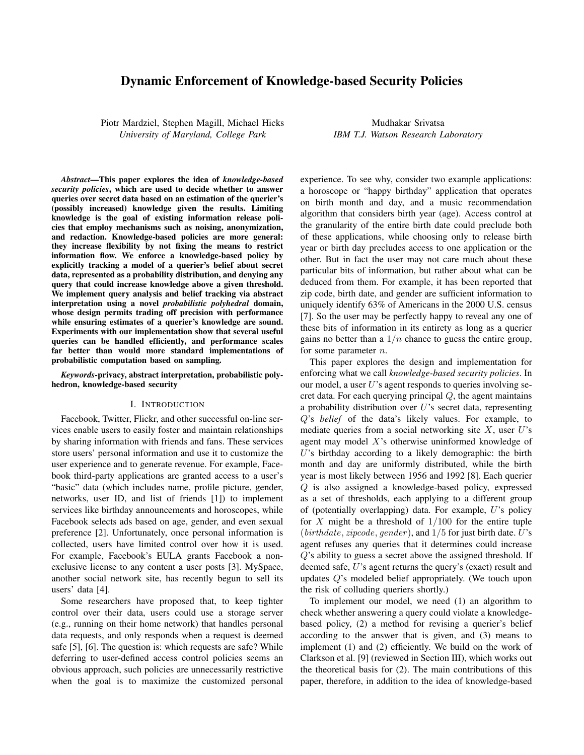# Dynamic Enforcement of Knowledge-based Security Policies

Piotr Mardziel, Stephen Magill, Michael Hicks *University of Maryland, College Park*

Mudhakar Srivatsa *IBM T.J. Watson Research Laboratory*

*Abstract*—This paper explores the idea of *knowledge-based security policies*, which are used to decide whether to answer queries over secret data based on an estimation of the querier's (possibly increased) knowledge given the results. Limiting knowledge is the goal of existing information release policies that employ mechanisms such as noising, anonymization, and redaction. Knowledge-based policies are more general: they increase flexibility by not fixing the means to restrict information flow. We enforce a knowledge-based policy by explicitly tracking a model of a querier's belief about secret data, represented as a probability distribution, and denying any query that could increase knowledge above a given threshold. We implement query analysis and belief tracking via abstract interpretation using a novel *probabilistic polyhedral* domain, whose design permits trading off precision with performance while ensuring estimates of a querier's knowledge are sound. Experiments with our implementation show that several useful queries can be handled efficiently, and performance scales far better than would more standard implementations of probabilistic computation based on sampling.

*Keywords*-privacy, abstract interpretation, probabilistic polyhedron, knowledge-based security

#### I. INTRODUCTION

Facebook, Twitter, Flickr, and other successful on-line services enable users to easily foster and maintain relationships by sharing information with friends and fans. These services store users' personal information and use it to customize the user experience and to generate revenue. For example, Facebook third-party applications are granted access to a user's "basic" data (which includes name, profile picture, gender, networks, user ID, and list of friends [1]) to implement services like birthday announcements and horoscopes, while Facebook selects ads based on age, gender, and even sexual preference [2]. Unfortunately, once personal information is collected, users have limited control over how it is used. For example, Facebook's EULA grants Facebook a nonexclusive license to any content a user posts [3]. MySpace, another social network site, has recently begun to sell its users' data [4].

Some researchers have proposed that, to keep tighter control over their data, users could use a storage server (e.g., running on their home network) that handles personal data requests, and only responds when a request is deemed safe [5], [6]. The question is: which requests are safe? While deferring to user-defined access control policies seems an obvious approach, such policies are unnecessarily restrictive when the goal is to maximize the customized personal experience. To see why, consider two example applications: a horoscope or "happy birthday" application that operates on birth month and day, and a music recommendation algorithm that considers birth year (age). Access control at the granularity of the entire birth date could preclude both of these applications, while choosing only to release birth year or birth day precludes access to one application or the other. But in fact the user may not care much about these particular bits of information, but rather about what can be deduced from them. For example, it has been reported that zip code, birth date, and gender are sufficient information to uniquely identify 63% of Americans in the 2000 U.S. census [7]. So the user may be perfectly happy to reveal any one of these bits of information in its entirety as long as a querier gains no better than a  $1/n$  chance to guess the entire group, for some parameter n.

This paper explores the design and implementation for enforcing what we call *knowledge-based security policies*. In our model, a user  $U$ 's agent responds to queries involving secret data. For each querying principal  $Q$ , the agent maintains a probability distribution over  $U$ 's secret data, representing Q's *belief* of the data's likely values. For example, to mediate queries from a social networking site  $X$ , user  $U$ 's agent may model  $X$ 's otherwise uninformed knowledge of U's birthday according to a likely demographic: the birth month and day are uniformly distributed, while the birth year is most likely between 1956 and 1992 [8]. Each querier Q is also assigned a knowledge-based policy, expressed as a set of thresholds, each applying to a different group of (potentially overlapping) data. For example, U's policy for X might be a threshold of  $1/100$  for the entire tuple  $(birthdate, zipcode, gender)$ , and  $1/5$  for just birth date. U's agent refuses any queries that it determines could increase Q's ability to guess a secret above the assigned threshold. If deemed safe, U's agent returns the query's (exact) result and updates Q's modeled belief appropriately. (We touch upon the risk of colluding queriers shortly.)

To implement our model, we need (1) an algorithm to check whether answering a query could violate a knowledgebased policy, (2) a method for revising a querier's belief according to the answer that is given, and (3) means to implement (1) and (2) efficiently. We build on the work of Clarkson et al. [9] (reviewed in Section III), which works out the theoretical basis for (2). The main contributions of this paper, therefore, in addition to the idea of knowledge-based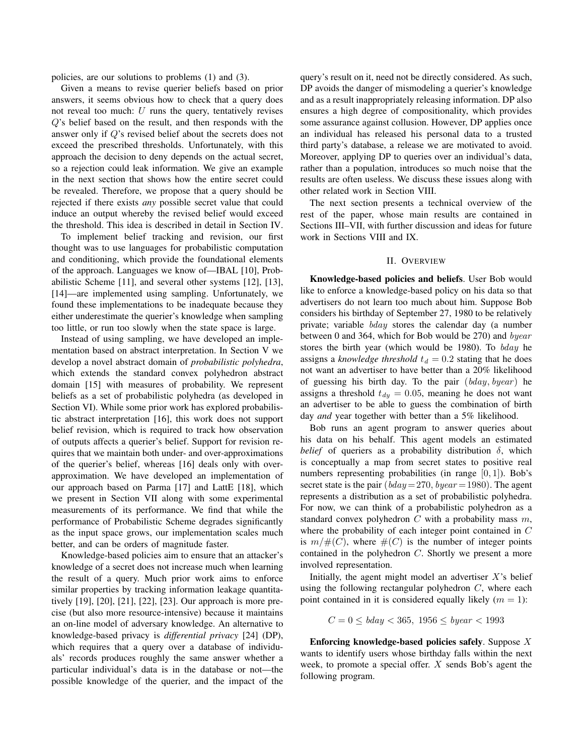policies, are our solutions to problems (1) and (3).

Given a means to revise querier beliefs based on prior answers, it seems obvious how to check that a query does not reveal too much:  $U$  runs the query, tentatively revises Q's belief based on the result, and then responds with the answer only if Q's revised belief about the secrets does not exceed the prescribed thresholds. Unfortunately, with this approach the decision to deny depends on the actual secret, so a rejection could leak information. We give an example in the next section that shows how the entire secret could be revealed. Therefore, we propose that a query should be rejected if there exists *any* possible secret value that could induce an output whereby the revised belief would exceed the threshold. This idea is described in detail in Section IV.

To implement belief tracking and revision, our first thought was to use languages for probabilistic computation and conditioning, which provide the foundational elements of the approach. Languages we know of—IBAL [10], Probabilistic Scheme [11], and several other systems [12], [13], [14]—are implemented using sampling. Unfortunately, we found these implementations to be inadequate because they either underestimate the querier's knowledge when sampling too little, or run too slowly when the state space is large.

Instead of using sampling, we have developed an implementation based on abstract interpretation. In Section V we develop a novel abstract domain of *probabilistic polyhedra*, which extends the standard convex polyhedron abstract domain [15] with measures of probability. We represent beliefs as a set of probabilistic polyhedra (as developed in Section VI). While some prior work has explored probabilistic abstract interpretation [16], this work does not support belief revision, which is required to track how observation of outputs affects a querier's belief. Support for revision requires that we maintain both under- and over-approximations of the querier's belief, whereas [16] deals only with overapproximation. We have developed an implementation of our approach based on Parma [17] and LattE [18], which we present in Section VII along with some experimental measurements of its performance. We find that while the performance of Probabilistic Scheme degrades significantly as the input space grows, our implementation scales much better, and can be orders of magnitude faster.

Knowledge-based policies aim to ensure that an attacker's knowledge of a secret does not increase much when learning the result of a query. Much prior work aims to enforce similar properties by tracking information leakage quantitatively [19], [20], [21], [22], [23]. Our approach is more precise (but also more resource-intensive) because it maintains an on-line model of adversary knowledge. An alternative to knowledge-based privacy is *differential privacy* [24] (DP), which requires that a query over a database of individuals' records produces roughly the same answer whether a particular individual's data is in the database or not—the possible knowledge of the querier, and the impact of the query's result on it, need not be directly considered. As such, DP avoids the danger of mismodeling a querier's knowledge and as a result inappropriately releasing information. DP also ensures a high degree of compositionality, which provides some assurance against collusion. However, DP applies once an individual has released his personal data to a trusted third party's database, a release we are motivated to avoid. Moreover, applying DP to queries over an individual's data, rather than a population, introduces so much noise that the results are often useless. We discuss these issues along with other related work in Section VIII.

The next section presents a technical overview of the rest of the paper, whose main results are contained in Sections III–VII, with further discussion and ideas for future work in Sections VIII and IX.

## II. OVERVIEW

Knowledge-based policies and beliefs. User Bob would like to enforce a knowledge-based policy on his data so that advertisers do not learn too much about him. Suppose Bob considers his birthday of September 27, 1980 to be relatively private; variable bday stores the calendar day (a number between 0 and 364, which for Bob would be 270) and byear stores the birth year (which would be 1980). To *bday* he assigns a *knowledge threshold*  $t_d = 0.2$  stating that he does not want an advertiser to have better than a 20% likelihood of guessing his birth day. To the pair  $(bday, byear)$  he assigns a threshold  $t_{dy} = 0.05$ , meaning he does not want an advertiser to be able to guess the combination of birth day *and* year together with better than a 5% likelihood.

Bob runs an agent program to answer queries about his data on his behalf. This agent models an estimated *belief* of queriers as a probability distribution  $\delta$ , which is conceptually a map from secret states to positive real numbers representing probabilities (in range  $[0, 1]$ ). Bob's secret state is the pair ( $bday = 270$ ,  $byear = 1980$ ). The agent represents a distribution as a set of probabilistic polyhedra. For now, we can think of a probabilistic polyhedron as a standard convex polyhedron  $C$  with a probability mass  $m$ , where the probability of each integer point contained in C is  $m/\#(C)$ , where  $\#(C)$  is the number of integer points contained in the polyhedron C. Shortly we present a more involved representation.

Initially, the agent might model an advertiser  $X$ 's belief using the following rectangular polyhedron  $C$ , where each point contained in it is considered equally likely  $(m = 1)$ :

$$
C = 0 \leq bday < 365, \ 1956 \leq byear < 1993
$$

Enforcing knowledge-based policies safely. Suppose X wants to identify users whose birthday falls within the next week, to promote a special offer. X sends Bob's agent the following program.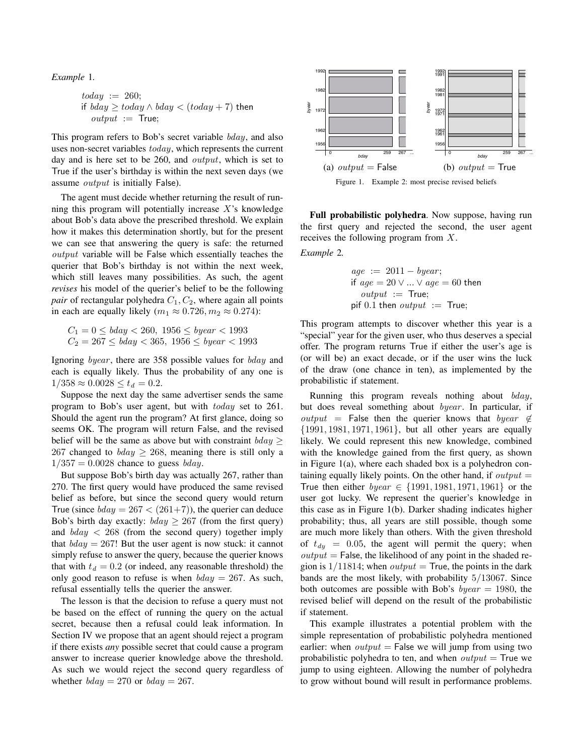*Example* 1*.*

$$
today := 260;
$$
  
if  $bday \ge today \land bday < (today + 7)$  then  
output := True;

This program refers to Bob's secret variable *bday*, and also uses non-secret variables today, which represents the current day and is here set to be 260, and *output*, which is set to True if the user's birthday is within the next seven days (we assume *output* is initially False).

The agent must decide whether returning the result of running this program will potentially increase  $X$ 's knowledge about Bob's data above the prescribed threshold. We explain how it makes this determination shortly, but for the present we can see that answering the query is safe: the returned output variable will be False which essentially teaches the querier that Bob's birthday is not within the next week, which still leaves many possibilities. As such, the agent *revises* his model of the querier's belief to be the following *pair* of rectangular polyhedra  $C_1$ ,  $C_2$ , where again all points in each are equally likely  $(m_1 \approx 0.726, m_2 \approx 0.274)$ :

 $C_1 = 0 \leq bday < 260, 1956 \leq byear < 1993$  $C_2 = 267 \leq bday \leq 365, 1956 \leq byear \leq 1993$ 

Ignoring byear, there are 358 possible values for bday and each is equally likely. Thus the probability of any one is  $1/358 \approx 0.0028 \le t_d = 0.2$ .

Suppose the next day the same advertiser sends the same program to Bob's user agent, but with today set to 261. Should the agent run the program? At first glance, doing so seems OK. The program will return False, and the revised belief will be the same as above but with constraint  $bday \geq$ 267 changed to  $bday \ge 268$ , meaning there is still only a  $1/357 = 0.0028$  chance to guess *bday*.

But suppose Bob's birth day was actually 267, rather than 270. The first query would have produced the same revised belief as before, but since the second query would return True (since  $bday = 267 < (261+7)$ ), the querier can deduce Bob's birth day exactly:  $bday \geq 267$  (from the first query) and  $bday < 268$  (from the second query) together imply that  $bday = 267!$  But the user agent is now stuck: it cannot simply refuse to answer the query, because the querier knows that with  $t_d = 0.2$  (or indeed, any reasonable threshold) the only good reason to refuse is when  $bday = 267$ . As such, refusal essentially tells the querier the answer.

The lesson is that the decision to refuse a query must not be based on the effect of running the query on the actual secret, because then a refusal could leak information. In Section IV we propose that an agent should reject a program if there exists *any* possible secret that could cause a program answer to increase querier knowledge above the threshold. As such we would reject the second query regardless of whether  $bday = 270$  or  $bday = 267$ .



Figure 1. Example 2: most precise revised beliefs

Full probabilistic polyhedra. Now suppose, having run the first query and rejected the second, the user agent receives the following program from X.

*Example* 2*.*

$$
age := 2011 - byear;
$$
  
if  $age = 20 \vee ... \vee age = 60$  then  
*output* := True;  
pf 0.1 then *output* := True;

This program attempts to discover whether this year is a "special" year for the given user, who thus deserves a special offer. The program returns True if either the user's age is (or will be) an exact decade, or if the user wins the luck of the draw (one chance in ten), as implemented by the probabilistic if statement.

Running this program reveals nothing about bday, but does reveal something about *byear*. In particular, if output = False then the querier knows that byear  $\notin$ {1991, 1981, 1971, 1961}, but all other years are equally likely. We could represent this new knowledge, combined with the knowledge gained from the first query, as shown in Figure 1(a), where each shaded box is a polyhedron containing equally likely points. On the other hand, if  $output =$ True then either *byear* ∈ {1991, 1981, 1971, 1961} or the user got lucky. We represent the querier's knowledge in this case as in Figure 1(b). Darker shading indicates higher probability; thus, all years are still possible, though some are much more likely than others. With the given threshold of  $t_{dy} = 0.05$ , the agent will permit the query; when  $output =$  False, the likelihood of any point in the shaded region is  $1/11814$ ; when *output* = True, the points in the dark bands are the most likely, with probability 5/13067. Since both outcomes are possible with Bob's  $byear = 1980$ , the revised belief will depend on the result of the probabilistic if statement.

This example illustrates a potential problem with the simple representation of probabilistic polyhedra mentioned earlier: when  $output =$  False we will jump from using two probabilistic polyhedra to ten, and when  $output = True$  we jump to using eighteen. Allowing the number of polyhedra to grow without bound will result in performance problems.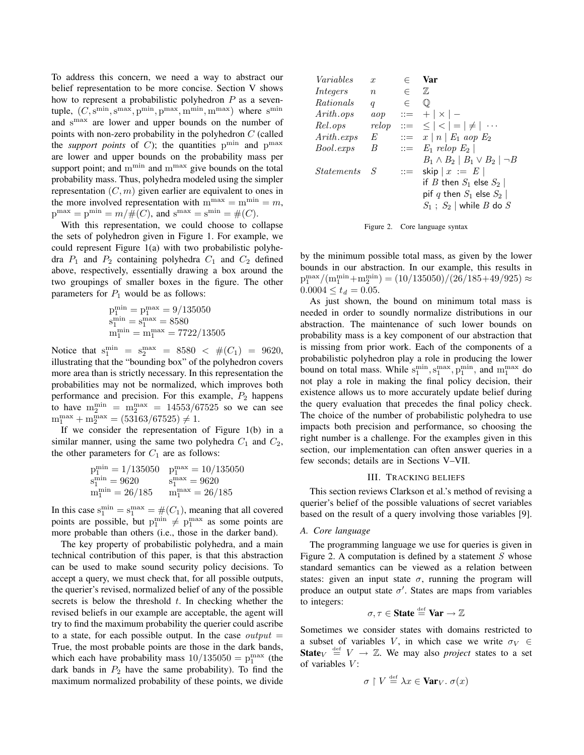To address this concern, we need a way to abstract our belief representation to be more concise. Section V shows how to represent a probabilistic polyhedron  $P$  as a seventuple,  $(C, \mathbf{s}^{\min}, \mathbf{s}^{\max}, \mathbf{p}^{\min}, \mathbf{p}^{\max}, \mathbf{m}^{\min}, \mathbf{m}^{\max})$  where  $\mathbf{s}^{\min}$ and s<sup>max</sup> are lower and upper bounds on the number of points with non-zero probability in the polyhedron  $C$  (called the *support points* of C); the quantities  $p^{min}$  and  $p^{max}$ are lower and upper bounds on the probability mass per support point; and  $m<sup>min</sup>$  and  $m<sup>max</sup>$  give bounds on the total probability mass. Thus, polyhedra modeled using the simpler representation  $(C, m)$  given earlier are equivalent to ones in the more involved representation with  $m^{max} = m^{min} = m$ ,  $p^{\max} = p^{\min} = m/\#(C)$ , and  $s^{\max} = s^{\min} = \#(C)$ .

With this representation, we could choose to collapse the sets of polyhedron given in Figure 1. For example, we could represent Figure 1(a) with two probabilistic polyhedra  $P_1$  and  $P_2$  containing polyhedra  $C_1$  and  $C_2$  defined above, respectively, essentially drawing a box around the two groupings of smaller boxes in the figure. The other parameters for  $P_1$  would be as follows:

$$
p_1^{\min} = p_1^{\max} = 9/135050
$$
  
\n
$$
s_1^{\min} = s_1^{\max} = 8580
$$
  
\n
$$
m_1^{\min} = m_1^{\max} = 7722/13505
$$

Notice that  $s_1^{\min} = s_2^{\max} = 8580 < \#(C_1) = 9620$ , illustrating that the "bounding box" of the polyhedron covers more area than is strictly necessary. In this representation the probabilities may not be normalized, which improves both performance and precision. For this example,  $P_2$  happens to have  $m_2^{min} = m_2^{max} = 14553/67525$  so we can see  $m_1^{\text{max}} + m_2^{\text{max}} = (53163/67525) \neq 1.$ 

If we consider the representation of Figure 1(b) in a similar manner, using the same two polyhedra  $C_1$  and  $C_2$ , the other parameters for  $C_1$  are as follows:

$$
\begin{array}{ll} p_1^{\rm min}=1/135050 & p_1^{\rm max}=10/135050 \\ s_1^{\rm min}=9620 & s_1^{\rm max}=9620 \\ m_1^{\rm min}=26/185 & m_1^{\rm max}=26/185 \end{array}
$$

In this case  $s_1^{\min} = s_1^{\max} = \#(C_1)$ , meaning that all covered points are possible, but  $p_1^{min} \neq p_1^{max}$  as some points are more probable than others (i.e., those in the darker band).

The key property of probabilistic polyhedra, and a main technical contribution of this paper, is that this abstraction can be used to make sound security policy decisions. To accept a query, we must check that, for all possible outputs, the querier's revised, normalized belief of any of the possible secrets is below the threshold  $t$ . In checking whether the revised beliefs in our example are acceptable, the agent will try to find the maximum probability the querier could ascribe to a state, for each possible output. In the case  $output =$ True, the most probable points are those in the dark bands, which each have probability mass  $10/135050 = p_1^{\text{max}}$  (the dark bands in  $P_2$  have the same probability). To find the maximum normalized probability of these points, we divide

| Variables                | $\boldsymbol{x}$ | $\subset$             | Var                                                |
|--------------------------|------------------|-----------------------|----------------------------------------------------|
| Integers                 | $n_{\rm c}$      | $\in$                 | 7,                                                 |
| Rationals                | $\boldsymbol{q}$ | $\in$                 | ധ                                                  |
| Arith.ops                | aop              |                       | $\equiv +  \times  $                               |
| Rel.ops                  |                  |                       | $relop$ ::= $\leq$   $\lt$   =   $\neq$   $\cdots$ |
| Arith.exps               | E                |                       | $\therefore$ $x   n   E_1$ aop $E_2$               |
| <i>Bool.exps</i>         | B                | $\mathrel{\mathop:}=$ | $E_1$ relop $E_2$                                  |
|                          |                  |                       | $B_1 \wedge B_2 \mid B_1 \vee B_2 \mid \neg B$     |
| <i><u>Statements</u></i> | S                | $\mathrel{\mathop:}=$ | skip $x := E$                                      |
|                          |                  |                       | if B then $S_1$ else $S_2$                         |
|                          |                  |                       | pif q then $S_1$ else $S_2$                        |
|                          |                  |                       | $S_1$ ; $S_2$   while B do S                       |

Figure 2. Core language syntax

by the minimum possible total mass, as given by the lower bounds in our abstraction. In our example, this results in  $p_1^{\text{max}}/(m_1^{\text{min}}+m_2^{\text{min}}) = (10/135050)/(26/185+49/925) \approx$  $0.0004 \le t_d = 0.05.$ 

As just shown, the bound on minimum total mass is needed in order to soundly normalize distributions in our abstraction. The maintenance of such lower bounds on probability mass is a key component of our abstraction that is missing from prior work. Each of the components of a probabilistic polyhedron play a role in producing the lower bound on total mass. While  $s_1^{\min}, s_1^{\max}, p_1^{\min},$  and  $m_1^{\max}$  do not play a role in making the final policy decision, their existence allows us to more accurately update belief during the query evaluation that precedes the final policy check. The choice of the number of probabilistic polyhedra to use impacts both precision and performance, so choosing the right number is a challenge. For the examples given in this section, our implementation can often answer queries in a few seconds; details are in Sections V–VII.

## III. TRACKING BELIEFS

This section reviews Clarkson et al.'s method of revising a querier's belief of the possible valuations of secret variables based on the result of a query involving those variables [9].

# *A. Core language*

The programming language we use for queries is given in Figure 2. A computation is defined by a statement  $S$  whose standard semantics can be viewed as a relation between states: given an input state  $\sigma$ , running the program will produce an output state  $\sigma'$ . States are maps from variables to integers:

$$
\sigma,\tau\in\mathbf{State}\stackrel{\text{\tiny def}}{=}\mathbf{Var}\to\mathbb{Z}
$$

Sometimes we consider states with domains restricted to a subset of variables V, in which case we write  $\sigma_V \in$ **State**<sub>V</sub>  $\stackrel{\text{def}}{=} V \rightarrow \mathbb{Z}$ . We may also *project* states to a set of variables  $V$ :

$$
\sigma \restriction V \stackrel{\scriptscriptstyle\rm def}{=} \lambda x \in \mathbf{Var}_V. \; \sigma(x)
$$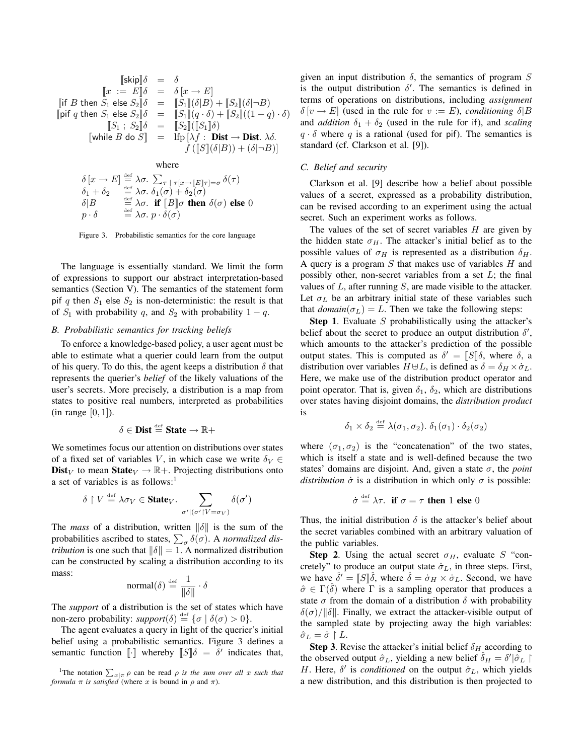$$
\begin{array}{rcl} [\![\mathrm{skip}]\!] \delta &=& \delta \\ \mathrm{[}\![x := E]\!] \delta &=& \delta\left[x \rightarrow E\right] \\ \mathrm{[}\![\mathrm{if}\; B \;\mathrm{then}\; S_1 \;\mathrm{else}\; S_2]\!] \delta &=& \mathrm{[}\! [S_1]\!] (\delta|B) + \mathrm{[}\! [S_2]\!] (\delta|\neg B) \\ \mathrm{[}\![\mathrm{p}\mathrm{if}\; q \;\mathrm{then}\; S_1 \;\mathrm{else}\; S_2]\!] \delta &=& \mathrm{[}\! [S_1]\!] (q\cdot \delta) + \mathrm{[}\! [S_2]\!] ((1-q)\cdot \delta) \\ \mathrm{[}\! [S_1 \; ;\; S_2]\!] \delta &=& \mathrm{[}\! [S_2]\!] ([\! [S_1]\!] \delta) \\ \mathrm{[while}\; B \;\mathrm{do}\; S]\!] &=& \mathrm{ifp}\left[\lambda f:\; \mathrm{Dist} \rightarrow \mathrm{Dist}.\; \lambda \delta. \\ &f\left([\! [S]\!] (\delta|B)\!) + (\delta|\neg B)\right] \\ \mathrm{where} \end{array}
$$

 $\delta\left[x\rightarrow E\right]\stackrel{\text{def}}{=}\lambda\sigma. \sum_{\tau\text{ }|\text{ }\tau\text{ }|x\rightarrow\text{ }\mathbb{E}\text{ }\mathbb{F}|\tau\text{ }|=\sigma}\delta(\tau)$  $\delta_1 + \delta_2 = \stackrel{\text{def}}{=} \lambda \sigma \cdot \delta_1(\sigma) + \delta_2(\sigma)$  $\delta |B$  =  $\lambda \sigma$ . if  $B$   $\sigma$  then  $\delta(\sigma)$  else 0  $p \cdot \delta$  $\stackrel{\mbox{\tiny def}}{=} \lambda \sigma.~p \cdot \delta(\sigma)$ 

Figure 3. Probabilistic semantics for the core language

The language is essentially standard. We limit the form of expressions to support our abstract interpretation-based semantics (Section V). The semantics of the statement form pif q then  $S_1$  else  $S_2$  is non-deterministic: the result is that of  $S_1$  with probability q, and  $S_2$  with probability  $1 - q$ .

# *B. Probabilistic semantics for tracking beliefs*

To enforce a knowledge-based policy, a user agent must be able to estimate what a querier could learn from the output of his query. To do this, the agent keeps a distribution  $\delta$  that represents the querier's *belief* of the likely valuations of the user's secrets. More precisely, a distribution is a map from states to positive real numbers, interpreted as probabilities  $(in range [0, 1]).$ 

$$
\delta \in \text{Dist} \stackrel{\text{\tiny def}}{=} \text{State} \rightarrow \mathbb{R}+
$$

We sometimes focus our attention on distributions over states of a fixed set of variables V, in which case we write  $\delta_V \in$ **Dist**<sub>V</sub> to mean **State**<sub>V</sub>  $\rightarrow \mathbb{R}$ +. Projecting distributions onto a set of variables is as follows:<sup>1</sup>

$$
\delta \upharpoonright V \stackrel{\text{def}}{=} \lambda \sigma_V \in \text{State}_V. \sum_{\sigma' \mid (\sigma' \upharpoonright V = \sigma_V)} \delta(\sigma')
$$

The *mass* of a distribution, written  $\|\delta\|$  is the sum of the probabilities ascribed to states,  $\sum_{\sigma} \delta(\sigma)$ . A *normalized distribution* is one such that  $\|\delta\| = 1$ . A normalized distribution can be constructed by scaling a distribution according to its mass:

$$
\text{normal}(\delta) \stackrel{\text{\tiny def}}{=} \frac{1}{\|\delta\|} \cdot \delta
$$

The *support* of a distribution is the set of states which have non-zero probability:  $support(\delta) \stackrel{\text{def}}{=} {\sigma | \delta(\sigma) > 0}.$ 

The agent evaluates a query in light of the querier's initial belief using a probabilistic semantics. Figure 3 defines a semantic function [.] whereby  $\llbracket S \rrbracket \delta = \delta'$  indicates that, given an input distribution  $\delta$ , the semantics of program S is the output distribution  $\delta'$ . The semantics is defined in terms of operations on distributions, including *assignment*  $\delta[v \rightarrow E]$  (used in the rule for  $v := E$ ), *conditioning*  $\delta[B]$ and *addition*  $\delta_1 + \delta_2$  (used in the rule for if), and *scaling*  $q \cdot \delta$  where q is a rational (used for pif). The semantics is standard (cf. Clarkson et al. [9]).

## *C. Belief and security*

Clarkson et al. [9] describe how a belief about possible values of a secret, expressed as a probability distribution, can be revised according to an experiment using the actual secret. Such an experiment works as follows.

The values of the set of secret variables  $H$  are given by the hidden state  $\sigma_H$ . The attacker's initial belief as to the possible values of  $\sigma_H$  is represented as a distribution  $\delta_H$ . A query is a program  $S$  that makes use of variables  $H$  and possibly other, non-secret variables from a set  $L$ ; the final values of  $L$ , after running  $S$ , are made visible to the attacker. Let  $\sigma_L$  be an arbitrary initial state of these variables such that  $domain(\sigma_L) = L$ . Then we take the following steps:

**Step 1.** Evaluate S probabilistically using the attacker's belief about the secret to produce an output distribution  $\delta'$ , which amounts to the attacker's prediction of the possible output states. This is computed as  $\delta' = \llbracket S \rrbracket \delta$ , where  $\delta$ , a distribution over variables  $H \oplus L$ , is defined as  $\delta = \delta_H \times \dot{\sigma}_L$ . Here, we make use of the distribution product operator and point operator. That is, given  $\delta_1$ ,  $\delta_2$ , which are distributions over states having disjoint domains, the *distribution product* is

$$
\delta_1 \times \delta_2 \stackrel{\text{def}}{=} \lambda(\sigma_1, \sigma_2). \ \delta_1(\sigma_1) \cdot \delta_2(\sigma_2)
$$

where  $(\sigma_1, \sigma_2)$  is the "concatenation" of the two states, which is itself a state and is well-defined because the two states' domains are disjoint. And, given a state σ, the *point distribution*  $\dot{\sigma}$  is a distribution in which only  $\sigma$  is possible:

$$
\dot{\sigma} \stackrel{\text{def}}{=} \lambda \tau.
$$
 if  $\sigma = \tau$  then 1 else 0

Thus, the initial distribution  $\delta$  is the attacker's belief about the secret variables combined with an arbitrary valuation of the public variables.

**Step 2.** Using the actual secret  $\sigma_H$ , evaluate S "concretely" to produce an output state  $\hat{\sigma}_L$ , in three steps. First, we have  $\hat{\delta}^{\prime} = [S] \hat{\delta}$ , where  $\hat{\delta} = \dot{\sigma}_H \times \dot{\sigma}_L$ . Second, we have  $\hat{\sigma} \in \Gamma(\hat{\delta})$  where  $\Gamma$  is a sampling operator that produces a state  $\sigma$  from the domain of a distribution  $\delta$  with probability  $\delta(\sigma)/\|\delta\|$ . Finally, we extract the attacker-visible output of the sampled state by projecting away the high variables:  $\hat{\sigma}_L = \hat{\sigma} \restriction L$ .

**Step 3.** Revise the attacker's initial belief  $\delta_H$  according to the observed output  $\hat{\sigma}_L$ , yielding a new belief  $\hat{\delta}_H = \delta' | \hat{\sigma}_L |$ H. Here,  $\delta'$  is *conditioned* on the output  $\hat{\sigma}_L$ , which yields a new distribution, and this distribution is then projected to

<sup>&</sup>lt;sup>1</sup>The notation  $\sum_{x|\pi} \rho$  can be read  $\rho$  *is the sum over all* x *such that formula*  $\pi$  *is satisfied* (where x is bound in  $\rho$  and  $\pi$ ).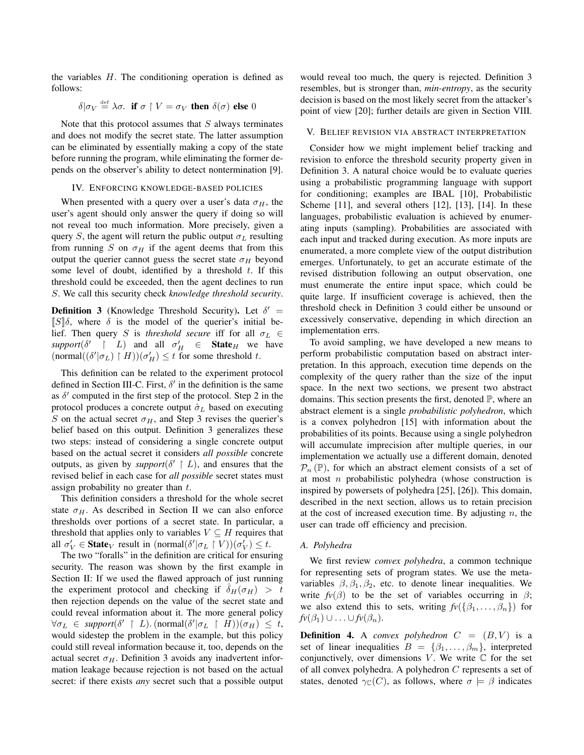the variables  $H$ . The conditioning operation is defined as follows:

$$
\delta|\sigma_V \stackrel{\text{def}}{=} \lambda \sigma.
$$
 if  $\sigma \upharpoonright V = \sigma_V$  then  $\delta(\sigma)$  else 0

Note that this protocol assumes that  $S$  always terminates and does not modify the secret state. The latter assumption can be eliminated by essentially making a copy of the state before running the program, while eliminating the former depends on the observer's ability to detect nontermination [9].

#### IV. ENFORCING KNOWLEDGE-BASED POLICIES

When presented with a query over a user's data  $\sigma_H$ , the user's agent should only answer the query if doing so will not reveal too much information. More precisely, given a query S, the agent will return the public output  $\sigma_L$  resulting from running S on  $\sigma_H$  if the agent deems that from this output the querier cannot guess the secret state  $\sigma_H$  beyond some level of doubt, identified by a threshold  $t$ . If this threshold could be exceeded, then the agent declines to run S. We call this security check *knowledge threshold security*.

**Definition 3** (Knowledge Threshold Security). Let  $\delta' =$  $\llbracket S \rrbracket \delta$ , where  $\delta$  is the model of the querier's initial belief. Then query S is *threshold secure* iff for all  $\sigma_L \in$  $support(\delta' \mid L)$  and all  $\sigma'_H \in State_H$  we have  $(\text{normal}((\delta'|\sigma_L)\restriction H))(\sigma'_H) \leq t$  for some threshold t.

This definition can be related to the experiment protocol defined in Section III-C. First,  $\delta'$  in the definition is the same as  $\delta'$  computed in the first step of the protocol. Step 2 in the protocol produces a concrete output  $\hat{\sigma}_L$  based on executing S on the actual secret  $\sigma_H$ , and Step 3 revises the querier's belief based on this output. Definition 3 generalizes these two steps: instead of considering a single concrete output based on the actual secret it considers *all possible* concrete outputs, as given by *support*( $\delta'$   $\upharpoonright$  *L*), and ensures that the revised belief in each case for *all possible* secret states must assign probability no greater than  $t$ .

This definition considers a threshold for the whole secret state  $\sigma_H$ . As described in Section II we can also enforce thresholds over portions of a secret state. In particular, a threshold that applies only to variables  $V \subseteq H$  requires that all  $\sigma'_V \in \text{State}_V$  result in  $(\text{normal}(\delta'|\sigma_L \restriction V))(\sigma'_V) \leq t$ .

The two "foralls" in the definition are critical for ensuring security. The reason was shown by the first example in Section II: If we used the flawed approach of just running the experiment protocol and checking if  $\delta_H(\sigma_H) > t$ then rejection depends on the value of the secret state and could reveal information about it. The more general policy  $\forall \sigma_L \in support(\delta' \restriction L). (normal(\delta' | \sigma_L \restriction H))(\sigma_H) \leq t$ , would sidestep the problem in the example, but this policy could still reveal information because it, too, depends on the actual secret  $\sigma_H$ . Definition 3 avoids any inadvertent information leakage because rejection is not based on the actual secret: if there exists *any* secret such that a possible output would reveal too much, the query is rejected. Definition 3 resembles, but is stronger than, *min-entropy*, as the security decision is based on the most likely secret from the attacker's point of view [20]; further details are given in Section VIII.

#### V. BELIEF REVISION VIA ABSTRACT INTERPRETATION

Consider how we might implement belief tracking and revision to enforce the threshold security property given in Definition 3. A natural choice would be to evaluate queries using a probabilistic programming language with support for conditioning; examples are IBAL [10], Probabilistic Scheme [11], and several others [12], [13], [14]. In these languages, probabilistic evaluation is achieved by enumerating inputs (sampling). Probabilities are associated with each input and tracked during execution. As more inputs are enumerated, a more complete view of the output distribution emerges. Unfortunately, to get an accurate estimate of the revised distribution following an output observation, one must enumerate the entire input space, which could be quite large. If insufficient coverage is achieved, then the threshold check in Definition 3 could either be unsound or excessively conservative, depending in which direction an implementation errs.

To avoid sampling, we have developed a new means to perform probabilistic computation based on abstract interpretation. In this approach, execution time depends on the complexity of the query rather than the size of the input space. In the next two sections, we present two abstract domains. This section presents the first, denoted  $\mathbb{P}$ , where an abstract element is a single *probabilistic polyhedron*, which is a convex polyhedron [15] with information about the probabilities of its points. Because using a single polyhedron will accumulate imprecision after multiple queries, in our implementation we actually use a different domain, denoted  $\mathcal{P}_n(\mathbb{P})$ , for which an abstract element consists of a set of at most  $n$  probabilistic polyhedra (whose construction is inspired by powersets of polyhedra [25], [26]). This domain, described in the next section, allows us to retain precision at the cost of increased execution time. By adjusting  $n$ , the user can trade off efficiency and precision.

## *A. Polyhedra*

We first review *convex polyhedra*, a common technique for representing sets of program states. We use the metavariables  $\beta$ ,  $\beta_1$ ,  $\beta_2$ , etc. to denote linear inequalities. We write  $f\nu(\beta)$  to be the set of variables occurring in  $\beta$ ; we also extend this to sets, writing  $f\nu(\{\beta_1,\ldots,\beta_n\})$  for  $f\nu(\beta_1) \cup \ldots \cup f\nu(\beta_n)$ .

**Definition 4.** A *convex polyhedron*  $C = (B, V)$  is a set of linear inequalities  $B = \{\beta_1, \dots, \beta_m\}$ , interpreted conjunctively, over dimensions  $V$ . We write  $\mathbb C$  for the set of all convex polyhedra. A polyhedron C represents a set of states, denoted  $\gamma_{\mathbb{C}}(C)$ , as follows, where  $\sigma \models \beta$  indicates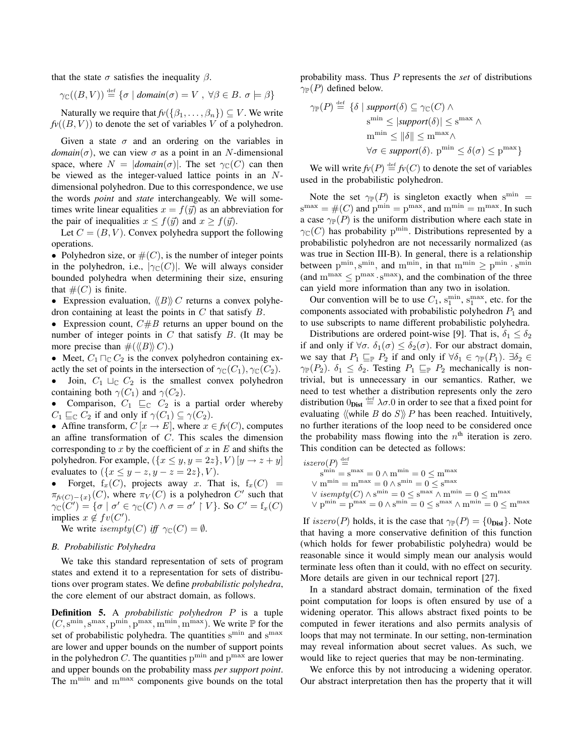that the state  $\sigma$  satisfies the inequality  $\beta$ .

$$
\gamma_{\mathbb{C}}((B, V)) \stackrel{\text{def}}{=} \{ \sigma \mid \text{domain}(\sigma) = V, \ \forall \beta \in B. \ \sigma \models \beta \}
$$

Naturally we require that  $f_V(\{\beta_1, \ldots, \beta_n\}) \subseteq V$ . We write  $f\nu((B, V))$  to denote the set of variables V of a polyhedron.

Given a state  $\sigma$  and an ordering on the variables in  $domain(\sigma)$ , we can view  $\sigma$  as a point in an N-dimensional space, where  $N = |domain(\sigma)|$ . The set  $\gamma_{\mathbb{C}}(C)$  can then be viewed as the integer-valued lattice points in an Ndimensional polyhedron. Due to this correspondence, we use the words *point* and *state* interchangeably. We will sometimes write linear equalities  $x = f(\vec{y})$  as an abbreviation for the pair of inequalities  $x \leq f(\vec{y})$  and  $x \geq f(\vec{y})$ .

Let  $C = (B, V)$ . Convex polyhedra support the following operations.

• Polyhedron size, or  $#(C)$ , is the number of integer points in the polyhedron, i.e.,  $|\gamma_{\mathbb{C}}(C)|$ . We will always consider bounded polyhedra when determining their size, ensuring that  $#(C)$  is finite.

• Expression evaluation,  $\langle\!\langle B \rangle\rangle C$  returns a convex polyhedron containing at least the points in  $C$  that satisfy  $B$ .

• Expression count,  $C \# B$  returns an upper bound on the number of integer points in  $C$  that satisfy  $B$ . (It may be more precise than  $\#(\langle\langle B\rangle\rangle C)$ .)

• Meet,  $C_1 \sqcap_{\mathbb{C}} C_2$  is the convex polyhedron containing exactly the set of points in the intersection of  $\gamma_{\mathbb{C}}(C_1), \gamma_{\mathbb{C}}(C_2)$ .

Join,  $C_1 \sqcup_{\mathbb{C}} C_2$  is the smallest convex polyhedron containing both  $\gamma(C_1)$  and  $\gamma(C_2)$ .

• Comparison,  $C_1 \sqsubseteq_C C_2$  is a partial order whereby  $C_1 \sqsubseteq_{\mathbb{C}} C_2$  if and only if  $\gamma(C_1) \subseteq \gamma(C_2)$ .

• Affine transform,  $C[x \rightarrow E]$ , where  $x \in f\nu(C)$ , computes an affine transformation of C. This scales the dimension corresponding to  $x$  by the coefficient of  $x$  in  $E$  and shifts the polyhedron. For example,  $({x \leq y, y = 2z}, V) [y \rightarrow z + y]$ evaluates to  $({x \leq y-z, y-z=2z}, V)$ .

Forget,  $f_x(C)$ , projects away x. That is,  $f_x(C)$  =  $\pi_{f\nu(C)-\{x\}}(C)$ , where  $\pi_V(C)$  is a polyhedron C' such that  $\gamma_\mathbb{C}(C')=\{\sigma\mid \sigma'\in \gamma_\mathbb{C}(C)\wedge \sigma=\sigma'\restriction V\}.$  So  $C'=\mathsf{f}_x(C)$ implies  $x \notin fv(C')$ .

We write  $isempty(C)$  *iff*  $\gamma_{\mathbb{C}}(C) = \emptyset$ .

## *B. Probabilistic Polyhedra*

We take this standard representation of sets of program states and extend it to a representation for sets of distributions over program states. We define *probabilistic polyhedra*, the core element of our abstract domain, as follows.

Definition 5. A *probabilistic polyhedron* P is a tuple  $(C, \mathbf{s}^{\min}, \mathbf{s}^{\max}, \mathbf{p}^{\min}, \mathbf{p}^{\max}, \mathbf{m}^{\min}, \mathbf{m}^{\max})$ . We write  $\mathbb P$  for the set of probabilistic polyhedra. The quantities s<sup>min</sup> and s<sup>max</sup> are lower and upper bounds on the number of support points in the polyhedron C. The quantities  $p^{min}$  and  $p^{max}$  are lower and upper bounds on the probability mass *per support point*. The  $m^{min}$  and  $m^{max}$  components give bounds on the total probability mass. Thus P represents the *set* of distributions  $\gamma_{\mathbb{P}}(P)$  defined below.

$$
\gamma_{\mathbb{P}}(P) \stackrel{\text{def}}{=} \{ \delta \mid support(\delta) \subseteq \gamma_{\mathbb{C}}(C) \land
$$
  

$$
s^{\min} \le |support(\delta)| \le s^{\max} \land
$$
  

$$
m^{\min} \le ||\delta|| \le m^{\max} \land
$$
  

$$
\forall \sigma \in support(\delta). \ p^{\min} \le \delta(\sigma) \le p^{\max} \}
$$

We will write  $f_v(P) \stackrel{\text{def}}{=} f_v(C)$  to denote the set of variables used in the probabilistic polyhedron.

Note the set  $\gamma_P(P)$  is singleton exactly when  $s^{\min}$  =  $s^{\max} = \#(C)$  and  $p^{\min} = p^{\max}$ , and  $m^{\min} = m^{\max}$ . In such a case  $\gamma_{\mathbb{P}}(P)$  is the uniform distribution where each state in  $\gamma_{\mathbb{C}}(C)$  has probability p<sup>min</sup>. Distributions represented by a probabilistic polyhedron are not necessarily normalized (as was true in Section III-B). In general, there is a relationship between  $p^{min}$ ,  $s^{min}$ , and  $m^{min}$ , in that  $m^{min} \geq p^{min} \cdot s^{min}$ (and  $m^{max} \leq p^{max} \cdot s^{max}$ ), and the combination of the three can yield more information than any two in isolation.

Our convention will be to use  $C_1$ ,  $s_1^{\text{min}}$ ,  $s_1^{\text{max}}$ , etc. for the components associated with probabilistic polyhedron  $P_1$  and to use subscripts to name different probabilistic polyhedra.

Distributions are ordered point-wise [9]. That is,  $\delta_1 \leq \delta_2$ if and only if  $\forall \sigma$ .  $\delta_1(\sigma) \leq \delta_2(\sigma)$ . For our abstract domain, we say that  $P_1 \sqsubseteq_{\mathbb{P}} P_2$  if and only if  $\forall \delta_1 \in \gamma_{\mathbb{P}}(P_1)$ .  $\exists \delta_2 \in$  $\gamma_{\mathbb{P}}(P_2)$ .  $\delta_1 \leq \delta_2$ . Testing  $P_1 \sqsubseteq_{\mathbb{P}} P_2$  mechanically is nontrivial, but is unnecessary in our semantics. Rather, we need to test whether a distribution represents only the zero distribution  $0_{\text{Dist}} \stackrel{\text{def}}{=} \lambda \sigma.0$  in order to see that a fixed point for evaluating  $\langle\langle\text{while }B\text{ do }S\rangle\rangle$  P has been reached. Intuitively, no further iterations of the loop need to be considered once the probability mass flowing into the  $n<sup>th</sup>$  iteration is zero. This condition can be detected as follows:

$$
iszero(P) \stackrel{\text{def}}{=} \text{s}^{\min} = \text{s}^{\max} = 0 \land \text{m}^{\min} = 0 \le \text{m}^{\max}
$$
  

$$
\lor \text{m}^{\min} = \text{m}^{\max} = 0 \land \text{s}^{\min} = 0 \le \text{s}^{\max}
$$
  

$$
\lor isempty(C) \land \text{s}^{\min} = 0 \le \text{s}^{\max} \land \text{m}^{\min} = 0 \le \text{m}^{\max}
$$
  

$$
\lor \text{p}^{\min} = \text{p}^{\max} = 0 \land \text{s}^{\min} = 0 \le \text{s}^{\max} \land \text{m}^{\min} = 0 \le \text{m}^{\max}
$$

If  $iszero(P)$  holds, it is the case that  $\gamma_{\mathbb{P}}(P) = \{0_{\text{Dist}}\}$ . Note that having a more conservative definition of this function (which holds for fewer probabilistic polyhedra) would be reasonable since it would simply mean our analysis would terminate less often than it could, with no effect on security. More details are given in our technical report [27].

In a standard abstract domain, termination of the fixed point computation for loops is often ensured by use of a widening operator. This allows abstract fixed points to be computed in fewer iterations and also permits analysis of loops that may not terminate. In our setting, non-termination may reveal information about secret values. As such, we would like to reject queries that may be non-terminating.

We enforce this by not introducing a widening operator. Our abstract interpretation then has the property that it will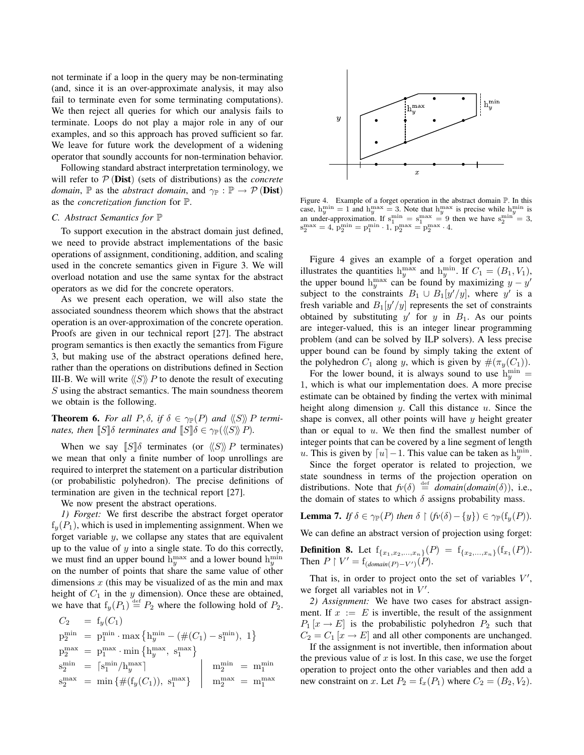not terminate if a loop in the query may be non-terminating (and, since it is an over-approximate analysis, it may also fail to terminate even for some terminating computations). We then reject all queries for which our analysis fails to terminate. Loops do not play a major role in any of our examples, and so this approach has proved sufficient so far. We leave for future work the development of a widening operator that soundly accounts for non-termination behavior.

Following standard abstract interpretation terminology, we will refer to  $P(Dist)$  (sets of distributions) as the *concrete domain*,  $\mathbb P$  as the *abstract domain*, and  $\gamma_{\mathbb P} : \mathbb P \to \mathcal P$  (Dist) as the *concretization function* for P.

#### *C. Abstract Semantics for* P

To support execution in the abstract domain just defined, we need to provide abstract implementations of the basic operations of assignment, conditioning, addition, and scaling used in the concrete semantics given in Figure 3. We will overload notation and use the same syntax for the abstract operators as we did for the concrete operators.

As we present each operation, we will also state the associated soundness theorem which shows that the abstract operation is an over-approximation of the concrete operation. Proofs are given in our technical report [27]. The abstract program semantics is then exactly the semantics from Figure 3, but making use of the abstract operations defined here, rather than the operations on distributions defined in Section III-B. We will write  $\langle S \rangle$  P to denote the result of executing S using the abstract semantics. The main soundness theorem we obtain is the following.

**Theorem 6.** For all P,  $\delta$ , if  $\delta \in \gamma_{\mathbb{P}}(P)$  and  $\langle\langle S \rangle\rangle$  P termi*nates, then*  $\llbracket S \rrbracket \delta$  *terminates and*  $\llbracket S \rrbracket \delta \in \gamma_{\mathbb{P}}(\langle \langle S \rangle \rangle P)$ *.* 

When we say  $\llbracket S \rrbracket \delta$  terminates (or  $\langle \langle S \rangle \rangle$  P terminates) we mean that only a finite number of loop unrollings are required to interpret the statement on a particular distribution (or probabilistic polyhedron). The precise definitions of termination are given in the technical report [27].

We now present the abstract operations.

*1) Forget:* We first describe the abstract forget operator  $f_{\nu}(P_1)$ , which is used in implementing assignment. When we forget variable  $y$ , we collapse any states that are equivalent up to the value of  $y$  into a single state. To do this correctly, we must find an upper bound  $h_y^{\text{max}}$  and a lower bound  $h_y^{\text{min}}$ on the number of points that share the same value of other dimensions  $x$  (this may be visualized of as the min and max height of  $C_1$  in the y dimension). Once these are obtained, we have that  $f_y(P_1) \stackrel{\text{def}}{=} P_2$  where the following hold of  $P_2$ .

$$
C_2 = f_y(C_1)
$$
  
\n
$$
p_2^{\min} = p_1^{\min} \cdot \max \{ h_y^{\min} - (\#(C_1) - s_1^{\min}), 1 \}
$$
  
\n
$$
p_2^{\max} = p_1^{\max} \cdot \min \{ h_y^{\max}, s_1^{\max} \}
$$
  
\n
$$
s_2^{\min} = \lceil s_1^{\min} / h_y^{\max} \rceil
$$
  
\n
$$
s_2^{\max} = \min \{ \#(f_y(C_1)), s_1^{\max} \} \mid m_2^{\min} = m_1^{\min}
$$
  
\n
$$
m_2^{\max} = m_1^{\max}
$$



Figure 4. Example of a forget operation in the abstract domain P. In this case,  $h_y^{\min} = 1$  and  $h_y^{\max} = 3$ . Note that  $h_y^{\max}$  is precise while  $h_y^{\min}$  is an under-approximation. If  $s_1^{\text{min}} = s_1^{\text{max}} = 9$  then we have  $s_2^{\text{min}} = 3$ ,  $s_2^{\text{max}} = 4$ ,  $p_2^{\text{min}} = p_1^{\text{min}} \cdot 1$ ,  $p_2^{\text{max}} = p_2^{\text{max}} \cdot 4$ .

Figure 4 gives an example of a forget operation and illustrates the quantities  $h_y^{\text{max}}$  and  $h_y^{\text{min}}$ . If  $C_1 = (B_1, V_1)$ , the upper bound  $h_y^{\text{max}}$  can be found by maximizing  $y - y'$ subject to the constraints  $B_1 \cup B_1[y'/y]$ , where y' is a fresh variable and  $B_1[y'/y]$  represents the set of constraints obtained by substituting  $y'$  for  $y$  in  $B_1$ . As our points are integer-valued, this is an integer linear programming problem (and can be solved by ILP solvers). A less precise upper bound can be found by simply taking the extent of the polyhedron  $C_1$  along y, which is given by  $\#(\pi_y(C_1)).$ 

For the lower bound, it is always sound to use  $h_y^{\min} =$ 1, which is what our implementation does. A more precise estimate can be obtained by finding the vertex with minimal height along dimension  $y$ . Call this distance  $u$ . Since the shape is convex, all other points will have  $y$  height greater than or equal to  $u$ . We then find the smallest number of integer points that can be covered by a line segment of length u. This is given by  $\lceil u \rceil - 1$ . This value can be taken as  $h_y^{\min}$ .

Since the forget operator is related to projection, we state soundness in terms of the projection operation on distributions. Note that  $f\nu(\delta) \stackrel{\text{def}}{=} \text{domain}(\text{domain}(\delta))$ , i.e., the domain of states to which  $\delta$  assigns probability mass.

**Lemma 7.** *If*  $\delta \in \gamma_{\mathbb{P}}(P)$  *then*  $\delta \upharpoonright (f \circ (\delta) - \{y\}) \in \gamma_{\mathbb{P}}(\mathbf{f}_y(P)).$ 

We can define an abstract version of projection using forget:

**Definition 8.** Let  $f_{\{x_1, x_2,...,x_n\}}(P) = f_{\{x_2,...,x_n\}}(f_{x_1}(P)).$ Then  $P \restriction V' = f_{(domain(P) - V')}(P)$ .

That is, in order to project onto the set of variables  $V'$ , we forget all variables not in  $V'$ .

*2) Assignment:* We have two cases for abstract assignment. If  $x := E$  is invertible, the result of the assignment  $P_1[x \rightarrow E]$  is the probabilistic polyhedron  $P_2$  such that  $C_2 = C_1 [x \rightarrow E]$  and all other components are unchanged.

If the assignment is not invertible, then information about the previous value of  $x$  is lost. In this case, we use the forget operation to project onto the other variables and then add a new constraint on x. Let  $P_2 = f_x(P_1)$  where  $C_2 = (B_2, V_2)$ .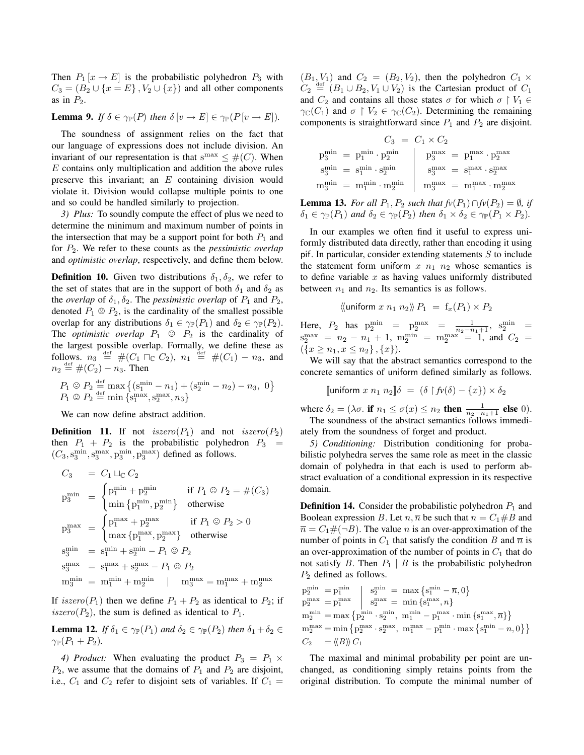Then  $P_1[x \rightarrow E]$  is the probabilistic polyhedron  $P_3$  with  $C_3 = (B_2 \cup \{x = E\}, V_2 \cup \{x\})$  and all other components as in  $P_2$ .

**Lemma 9.** *If*  $\delta \in \gamma_{\mathbb{P}}(P)$  *then*  $\delta[v \to E] \in \gamma_{\mathbb{P}}(P[v \to E])$ *.* 

The soundness of assignment relies on the fact that our language of expressions does not include division. An invariant of our representation is that  $s^{max} \leq \#(C)$ . When  $E$  contains only multiplication and addition the above rules preserve this invariant; an  $E$  containing division would violate it. Division would collapse multiple points to one and so could be handled similarly to projection.

*3) Plus:* To soundly compute the effect of plus we need to determine the minimum and maximum number of points in the intersection that may be a support point for both  $P_1$  and for P2. We refer to these counts as the *pessimistic overlap* and *optimistic overlap*, respectively, and define them below.

**Definition 10.** Given two distributions  $\delta_1, \delta_2$ , we refer to the set of states that are in the support of both  $\delta_1$  and  $\delta_2$  as the *overlap* of  $\delta_1, \delta_2$ . The *pessimistic overlap* of  $P_1$  and  $P_2$ , denoted  $P_1 \otimes P_2$ , is the cardinality of the smallest possible overlap for any distributions  $\delta_1 \in \gamma_{\mathbb{P}}(P_1)$  and  $\delta_2 \in \gamma_{\mathbb{P}}(P_2)$ . The *optimistic overlap*  $P_1 \oplus P_2$  is the cardinality of the largest possible overlap. Formally, we define these as follows.  $n_3 \stackrel{\text{def}}{=} \#(C_1 \sqcap_{\mathbb{C}} C_2)$ ,  $n_1 \stackrel{\text{def}}{=} \#(C_1) - n_3$ , and  $n_2 \stackrel{\text{def}}{=} \#(C_2) - n_3$ . Then

$$
P_1 \otimes P_2 \stackrel{\text{def}}{=} \max \left\{ \left( \mathbf{s}_1^{\min} - n_1 \right) + \left( \mathbf{s}_2^{\min} - n_2 \right) - n_3, \ 0 \right\}
$$
  

$$
P_1 \otimes P_2 \stackrel{\text{def}}{=} \min \left\{ \mathbf{s}_1^{\max}, \mathbf{s}_2^{\max}, n_3 \right\}
$$

We can now define abstract addition.

**Definition 11.** If not *iszero* $(P_1)$  and not *iszero* $(P_2)$ then  $P_1 + P_2$  is the probabilistic polyhedron  $P_3$  =  $(C_3, s_3^{\min}, s_3^{\max}, p_3^{\min}, p_3^{\max})$  defined as follows.

$$
C_3 = C_1 \sqcup_{\mathbb{C}} C_2
$$
  
\n
$$
p_3^{\min} = \begin{cases} p_1^{\min} + p_2^{\min} & \text{if } P_1 \odot P_2 = \#(C_3) \\ \min \{p_1^{\min}, p_2^{\min} \} & \text{otherwise} \end{cases}
$$
  
\n
$$
p_3^{\max} = \begin{cases} p_1^{\max} + p_2^{\max} & \text{if } P_1 \odot P_2 > 0 \\ \max \{p_1^{\max}, p_2^{\max} \} & \text{otherwise} \end{cases}
$$
  
\n
$$
s_3^{\min} = s_1^{\min} + s_2^{\min} - P_1 \odot P_2
$$
  
\n
$$
s_3^{\max} = s_1^{\max} + s_2^{\max} - P_1 \odot P_2
$$
  
\n
$$
m_3^{\min} = m_1^{\min} + m_2^{\min} \quad | \quad m_3^{\max} = m_1^{\max} + m_2^{\max}
$$

If iszero( $P_1$ ) then we define  $P_1 + P_2$  as identical to  $P_2$ ; if iszero( $P_2$ ), the sum is defined as identical to  $P_1$ .

**Lemma 12.** *If*  $\delta_1 \in \gamma_{\mathbb{P}}(P_1)$  *and*  $\delta_2 \in \gamma_{\mathbb{P}}(P_2)$  *then*  $\delta_1 + \delta_2 \in$  $\gamma_{\mathbb{P}}(P_1+P_2)$ .

4) Product: When evaluating the product  $P_3 = P_1 \times$  $P_2$ , we assume that the domains of  $P_1$  and  $P_2$  are disjoint, i.e.,  $C_1$  and  $C_2$  refer to disjoint sets of variables. If  $C_1$  =

 $(B_1, V_1)$  and  $C_2 = (B_2, V_2)$ , then the polyhedron  $C_1 \times$  $C_2 \stackrel{\text{def}}{=} (B_1 \cup B_2, V_1 \cup V_2)$  is the Cartesian product of  $C_1$ and  $C_2$  and contains all those states  $\sigma$  for which  $\sigma \restriction V_1 \in$  $\gamma_{\mathbb{C}}(C_1)$  and  $\sigma \restriction V_2 \in \gamma_{\mathbb{C}}(C_2)$ . Determining the remaining components is straightforward since  $P_1$  and  $P_2$  are disjoint.

| $C_3 = C_1 \times C_2$ |  |                                                              |  |  |                                                                               |  |  |  |
|------------------------|--|--------------------------------------------------------------|--|--|-------------------------------------------------------------------------------|--|--|--|
|                        |  | $p_3^{\min} = p_1^{\min} \cdot p_2^{\min}$                   |  |  | $\begin{array}{rcl}   & p_3^{\max} = p_1^{\max} \cdot p_2^{\max} \end{array}$ |  |  |  |
|                        |  | $s_3^{\min} = s_1^{\min} \cdot s_2^{\min}$                   |  |  | $s_3^{\max} = s_1^{\max} \cdot s_2^{\max}$                                    |  |  |  |
|                        |  | $m_3^{\text{min}} = m_1^{\text{min}} \cdot m_2^{\text{min}}$ |  |  | $m_3^{\text{max}} = m_1^{\text{max}} \cdot m_2^{\text{max}}$                  |  |  |  |

**Lemma 13.** *For all*  $P_1$ ,  $P_2$  *such that*  $f\nu(P_1) \cap f\nu(P_2) = \emptyset$ *, if*  $\delta_1 \in \gamma_{\mathbb{P}}(P_1)$  *and*  $\delta_2 \in \gamma_{\mathbb{P}}(P_2)$  *then*  $\delta_1 \times \delta_2 \in \gamma_{\mathbb{P}}(P_1 \times P_2)$ *.* 

In our examples we often find it useful to express uniformly distributed data directly, rather than encoding it using pif. In particular, consider extending statements  $S$  to include the statement form uniform  $x$   $n_1$   $n_2$  whose semantics is to define variable  $x$  as having values uniformly distributed between  $n_1$  and  $n_2$ . Its semantics is as follows.

$$
\langle\!\langle \mathsf{uniform}\; x\; n_1\; n_2\rangle\!\rangle\; P_1\;=\; \mathrm{f}_x(P_1)\times P_2
$$

Here,  $P_2$  has  $p_2^{\min} = p_2^{\max} = \frac{1}{n_2 - n_1 + 1}$ ,  $s_2^{\min} =$  $\mathrm{s}_{2}^{\max}$  =  $n_{2} - n_{1} + 1$ ,  $\mathrm{m}_{2}^{\min}$  =  $\mathrm{m}_{2}^{\max}$  = 1, and  $C_{2}$  =  $({x \ge n_1, x \le n_2}, {x}.$ 

We will say that the abstract semantics correspond to the concrete semantics of uniform defined similarly as follows.

$$
[\![\mathsf{uniform}\; x \; n_1 \; n_2]\!] \delta \; = \; (\delta \upharpoonright f \mathcal{V}(\delta) - \{x\}) \times \delta_2
$$

where  $\delta_2 = (\lambda \sigma \cdot \textbf{if } n_1 \le \sigma(x) \le n_2 \textbf{ then } \frac{1}{n_2 - n_1 + 1} \textbf{ else } 0).$ The soundness of the abstract semantics follows immediately from the soundness of forget and product.

*5) Conditioning:* Distribution conditioning for probabilistic polyhedra serves the same role as meet in the classic domain of polyhedra in that each is used to perform abstract evaluation of a conditional expression in its respective domain.

**Definition 14.** Consider the probabilistic polyhedron  $P_1$  and Boolean expression B. Let  $n, \overline{n}$  be such that  $n = C_1 \# B$  and  $\overline{n} = C_1 \# (-B)$ . The value *n* is an over-approximation of the number of points in  $C_1$  that satisfy the condition B and  $\overline{n}$  is an over-approximation of the number of points in  $C_1$  that do not satisfy B. Then  $P_1 \mid B$  is the probabilistic polyhedron  $P_2$  defined as follows.

$$
p_2^{\min} = p_1^{\min} \n\begin{cases} \n\sin = \max \{ s_1^{\min} - \overline{n}, 0 \} \\
\sin = \max \{ s_2^{\max} = \min \{ s_1^{\max}, n \} \\
\min^{m} = \max \{ p_2^{\min} \cdot s_2^{\min}, \min^{m} - p_1^{\max} \cdot \min \{ s_1^{\max}, \overline{n} \} \} \\
m_2^{\max} = \min \{ p_2^{\max} \cdot s_2^{\max}, \min^{m} - p_1^{\min} \cdot \max \{ s_1^{\min} - n, 0 \} \} \\
C_2 = \langle \langle B \rangle \rangle C_1\n\end{cases}
$$

The maximal and minimal probability per point are unchanged, as conditioning simply retains points from the original distribution. To compute the minimal number of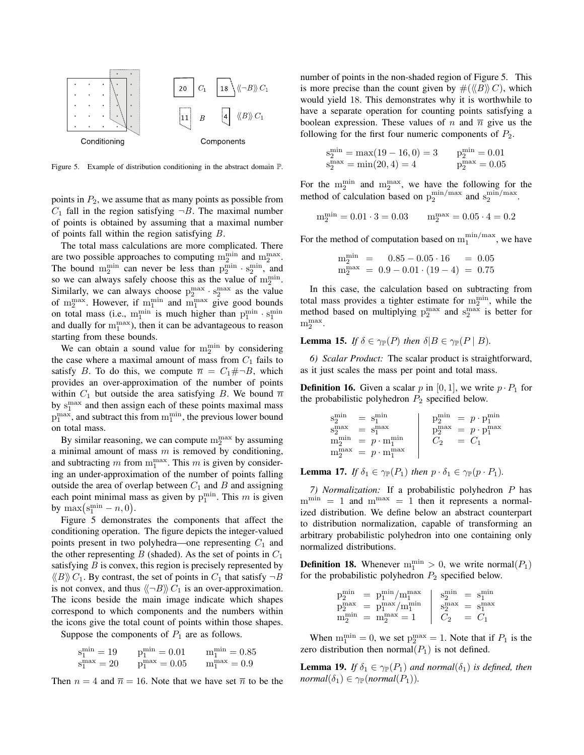

Figure 5. Example of distribution conditioning in the abstract domain P.

points in  $P_2$ , we assume that as many points as possible from  $C_1$  fall in the region satisfying  $\neg B$ . The maximal number of points is obtained by assuming that a maximal number of points fall within the region satisfying B.

The total mass calculations are more complicated. There are two possible approaches to computing  $m_2^{min}$  and  $m_2^{max}$ . The bound  $m_2^{\text{min}}$  can never be less than  $p_2^{\text{min}} \cdot s_2^{\text{min}}$ , and so we can always safely choose this as the value of  $m_2^{\text{min}}$ . Similarly, we can always choose  $p_2^{\max} \cdot s_2^{\max}$  as the value of  $m_2^{\text{max}}$ . However, if  $m_1^{\text{min}}$  and  $m_1^{\text{max}}$  give good bounds on total mass (i.e.,  $m_1^{min}$  is much higher than  $p_1^{min} \cdot s_1^{min}$ and dually for  $m_1^{\text{max}}$ ), then it can be advantageous to reason starting from these bounds.

We can obtain a sound value for  $m_2^{min}$  by considering the case where a maximal amount of mass from  $C_1$  fails to satisfy B. To do this, we compute  $\overline{n} = C_1 \# \neg B$ , which provides an over-approximation of the number of points within  $C_1$  but outside the area satisfying B. We bound  $\overline{n}$ by  $s_1^{\text{max}}$  and then assign each of these points maximal mass  $p_1^{\text{max}}$ , and subtract this from  $m_1^{\text{min}}$ , the previous lower bound on total mass.

By similar reasoning, we can compute  $m_2^{max}$  by assuming a minimal amount of mass  $m$  is removed by conditioning, and subtracting m from  $m_1^{\text{max}}$ . This m is given by considering an under-approximation of the number of points falling outside the area of overlap between  $C_1$  and  $B$  and assigning each point minimal mass as given by  $p_1^{\min}$ . This m is given by  $\max(\mathrm{s}_1^{\min} - n, 0)$ .

Figure 5 demonstrates the components that affect the conditioning operation. The figure depicts the integer-valued points present in two polyhedra—one representing  $C_1$  and the other representing  $B$  (shaded). As the set of points in  $C_1$ satisfying  $B$  is convex, this region is precisely represented by  $\langle B \rangle \rangle$  C<sub>1</sub>. By contrast, the set of points in C<sub>1</sub> that satisfy  $\neg B$ is not convex, and thus  $\langle \neg B \rangle \rangle C_1$  is an over-approximation. The icons beside the main image indicate which shapes correspond to which components and the numbers within the icons give the total count of points within those shapes.

Suppose the components of  $P_1$  are as follows.

$$
\begin{array}{lll}\n\mathbf{s}_1^{\text{min}} = 19 & \mathbf{p}_1^{\text{min}} = 0.01 & \mathbf{m}_1^{\text{min}} = 0.85 \\
\mathbf{s}_1^{\text{max}} = 20 & \mathbf{p}_1^{\text{max}} = 0.05 & \mathbf{m}_1^{\text{max}} = 0.9\n\end{array}
$$

Then  $n = 4$  and  $\overline{n} = 16$ . Note that we have set  $\overline{n}$  to be the

number of points in the non-shaded region of Figure 5. This is more precise than the count given by  $\#(\langle\langle B \rangle\rangle C)$ , which would yield 18. This demonstrates why it is worthwhile to have a separate operation for counting points satisfying a boolean expression. These values of n and  $\overline{n}$  give us the following for the first four numeric components of  $P_2$ .

$$
\begin{array}{ll} \mathrm{s}^{\rm min}_2 = \max(19-16,0) = 3 & \quad \mathrm{p}^{\rm min}_2 = 0.01 \\ \mathrm{s}^{\rm max}_2 = \min(20,4) = 4 & \quad \mathrm{p}^{\rm max}_2 = 0.05 \end{array}
$$

For the  $m_2^{min}$  and  $m_2^{max}$ , we have the following for the method of calculation based on  $p_2^{\min/max}$  and  $s_2^{\min/max}$ .

$$
m_2^{\min} = 0.01 \cdot 3 = 0.03
$$
  $m_2^{\max} = 0.05 \cdot 4 = 0.2$ 

For the method of computation based on  $m_1^{min/max}$ , we have

$$
m_2^{\text{min}} = 0.85 - 0.05 \cdot 16 = 0.05
$$
  

$$
m_2^{\text{max}} = 0.9 - 0.01 \cdot (19 - 4) = 0.75
$$

In this case, the calculation based on subtracting from total mass provides a tighter estimate for  $m_2^{min}$ , while the method based on multiplying  $p_2^{\max}$  and  $s_2^{\max}$  is better for  $m_2^{\text{max}}$ .

**Lemma 15.** *If*  $\delta \in \gamma_{\mathbb{P}}(P)$  *then*  $\delta | B \in \gamma_{\mathbb{P}}(P | B)$ *.* 

*6) Scalar Product:* The scalar product is straightforward, as it just scales the mass per point and total mass.

**Definition 16.** Given a scalar p in [0, 1], we write  $p \cdot P_1$  for the probabilistic polyhedron  $P_2$  specified below.

$$
\begin{array}{ll}\n\mathbf{s}_{2}^{\min} & = \mathbf{s}_{1}^{\min} \\
\mathbf{s}_{2}^{\max} & = \mathbf{s}_{1}^{\max} \\
\mathbf{m}_{2}^{\min} & = p \cdot \mathbf{m}_{1}^{\min} \\
\mathbf{m}_{2}^{\min} & = p \cdot \mathbf{m}_{1}^{\min}\n\end{array}\n\quad\n\begin{array}{ll}\n\mathbf{p}_{2}^{\min} & = p \cdot \mathbf{p}_{1}^{\min} \\
\mathbf{p}_{2}^{\max} & = p \cdot \mathbf{p}_{1}^{\max} \\
C_{2} & = C_{1} \\
\end{array}
$$

**Lemma 17.** *If*  $\delta_1 \in \gamma_{\mathbb{P}}(P_1)$  *then*  $p \cdot \delta_1 \in \gamma_{\mathbb{P}}(p \cdot P_1)$ *.* 

*7) Normalization:* If a probabilistic polyhedron P has  $m^{min}$  = 1 and  $m^{max}$  = 1 then it represents a normalized distribution. We define below an abstract counterpart to distribution normalization, capable of transforming an arbitrary probabilistic polyhedron into one containing only normalized distributions.

**Definition 18.** Whenever  $m_1^{min} > 0$ , we write normal $(P_1)$ for the probabilistic polyhedron  $P_2$  specified below.

$$
p_2^{\min} = p_1^{\min} / m_1^{\max} \n\begin{array}{c} \n\text{s}_2^{\min} = \text{s}_1^{\min} \\
\text{s}_2^{\min} = \text{s}_1^{\min} \\
\text{s}_2^{\max} = \text{s}_1^{\max} \\
\text{m}_2^{\min} = \text{m}_2^{\max} = 1\n\end{array}
$$

When  $m_1^{min} = 0$ , we set  $p_2^{max} = 1$ . Note that if  $P_1$  is the zero distribution then normal $(P_1)$  is not defined.

**Lemma 19.** *If*  $\delta_1 \in \gamma_{\mathbb{P}}(P_1)$  *and normal*( $\delta_1$ ) *is defined, then*  $normal(\delta_1) \in \gamma_{\mathbb{P}}(normal(P_1)).$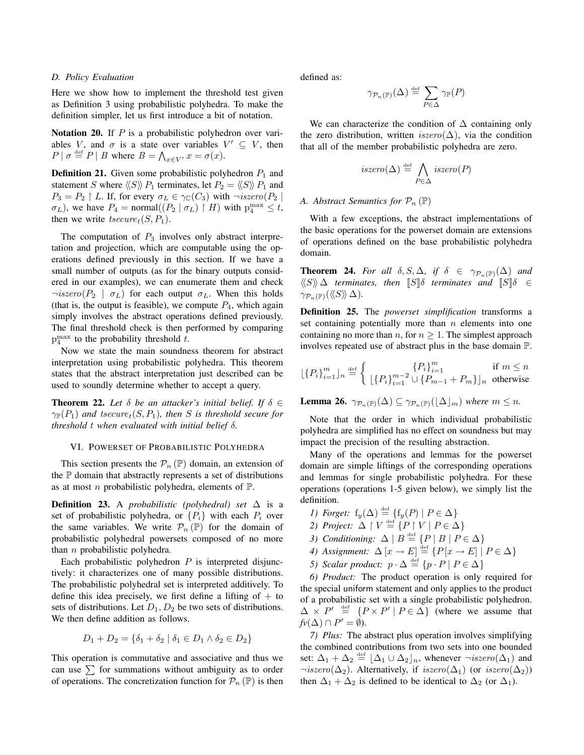#### *D. Policy Evaluation*

Here we show how to implement the threshold test given as Definition 3 using probabilistic polyhedra. To make the definition simpler, let us first introduce a bit of notation.

Notation 20. If  $P$  is a probabilistic polyhedron over variables V, and  $\sigma$  is a state over variables  $V' \subseteq V$ , then  $P | \sigma \stackrel{\text{def}}{=} P | B$  where  $B = \bigwedge_{x \in V'} x = \sigma(x)$ .

**Definition 21.** Given some probabilistic polyhedron  $P_1$  and statement S where  $\langle S \rangle P_1$  terminates, let  $P_2 = \langle S \rangle P_1$  and  $P_3 = P_2 \restriction L$ . If, for every  $\sigma_L \in \gamma_{\mathbb{C}}(C_3)$  with  $\neg \mathit{iszero}(P_2 \mid$  $\sigma_L$ ), we have  $P_4 = \text{normal}((P_2 | \sigma_L) | H)$  with  $p_4^{\max} \leq t$ , then we write  $tsecure<sub>t</sub>(S, P<sub>1</sub>)$ .

The computation of  $P_3$  involves only abstract interpretation and projection, which are computable using the operations defined previously in this section. If we have a small number of outputs (as for the binary outputs considered in our examples), we can enumerate them and check  $\neg$ *iszero*( $P_2 \mid \sigma_L$ ) for each output  $\sigma_L$ . When this holds (that is, the output is feasible), we compute  $P_4$ , which again simply involves the abstract operations defined previously. The final threshold check is then performed by comparing  $p_4^{\text{max}}$  to the probability threshold t.

Now we state the main soundness theorem for abstract interpretation using probabilistic polyhedra. This theorem states that the abstract interpretation just described can be used to soundly determine whether to accept a query.

**Theorem 22.** Let  $\delta$  be an attacker's initial belief. If  $\delta \in$  $\gamma_{\mathbb{P}}(P_1)$  *and tsecure*<sub>t</sub>(S, P<sub>1</sub>), then S is threshold secure for *threshold* t *when evaluated with initial belief* δ*.*

#### VI. POWERSET OF PROBABILISTIC POLYHEDRA

This section presents the  $\mathcal{P}_n(\mathbb{P})$  domain, an extension of the  $P$  domain that abstractly represents a set of distributions as at most  $n$  probabilistic polyhedra, elements of  $\mathbb P$ .

**Definition 23.** A *probabilistic (polyhedral) set*  $\Delta$  is a set of probabilistic polyhedra, or  $\{P_i\}$  with each  $P_i$  over the same variables. We write  $\mathcal{P}_n(\mathbb{P})$  for the domain of probabilistic polyhedral powersets composed of no more than  $n$  probabilistic polyhedra.

Each probabilistic polyhedron  $P$  is interpreted disjunctively: it characterizes one of many possible distributions. The probabilistic polyhedral set is interpreted additively. To define this idea precisely, we first define a lifting of  $+$  to sets of distributions. Let  $D_1, D_2$  be two sets of distributions. We then define addition as follows.

$$
D_1 + D_2 = \{ \delta_1 + \delta_2 \mid \delta_1 \in D_1 \land \delta_2 \in D_2 \}
$$

This operation is commutative and associative and thus we can use  $\sum$  for summations without ambiguity as to order of operations. The concretization function for  $\mathcal{P}_n(\mathbb{P})$  is then defined as:

$$
\gamma_{\mathcal{P}_n(\mathbb{P})}(\Delta) \stackrel{\text{def}}{=} \sum_{P \in \Delta} \gamma_{\mathbb{P}}(P)
$$

We can characterize the condition of  $\Delta$  containing only the zero distribution, written *iszero*( $\Delta$ ), via the condition that all of the member probabilistic polyhedra are zero.

$$
iszero(\Delta) \stackrel{\text{def}}{=} \bigwedge_{P \in \Delta} iszero(P)
$$

## *A. Abstract Semantics for*  $P_n(\mathbb{P})$

With a few exceptions, the abstract implementations of the basic operations for the powerset domain are extensions of operations defined on the base probabilistic polyhedra domain.

**Theorem 24.** For all  $\delta$ ,  $S$ ,  $\Delta$ , if  $\delta \in \gamma_{\mathcal{P}_n(\mathbb{P})}(\Delta)$  and  $\langle\langle S \rangle\rangle$   $\Delta$  *terminates, then*  $\llbracket S \rrbracket \delta$  *terminates and*  $\llbracket S \rrbracket \delta \in$  $\gamma_{\mathcal{P}_n(\mathbb{P})}(\langle\!\langle S \rangle\!\rangle \Delta).$ 

Definition 25. The *powerset simplification* transforms a set containing potentially more than  $n$  elements into one containing no more than n, for  $n > 1$ . The simplest approach involves repeated use of abstract plus in the base domain P.

$$
\lfloor \{P_i\}_{i=1}^m \rfloor_n \stackrel{\text{def}}{=} \left\{ \begin{array}{cc} \{P_i\}_{i=1}^m & \text{if } m \le n \\ \lfloor \{P_i\}_{i=1}^{m-2} \cup \{P_{m-1} + P_m\} \rfloor_n & \text{otherwise} \end{array} \right.
$$

**Lemma 26.**  $\gamma_{\mathcal{P}_n(\mathbb{P})}(\Delta) \subseteq \gamma_{\mathcal{P}_n(\mathbb{P})}(\lfloor \Delta \rfloor_m)$  where  $m \leq n$ .

Note that the order in which individual probabilistic polyhedra are simplified has no effect on soundness but may impact the precision of the resulting abstraction.

Many of the operations and lemmas for the powerset domain are simple liftings of the corresponding operations and lemmas for single probabilistic polyhedra. For these operations (operations 1-5 given below), we simply list the definition.

- *1) Forget:*  $f_y(\Delta) \stackrel{\text{def}}{=} \{f_y(P) \mid P \in \Delta\}$
- 2) Project:  $\Delta \restriction V \stackrel{\text{def}}{=} \{P \restriction V \mid P \in \Delta\}$
- *3)* Conditioning:  $\Delta \mid B \stackrel{\text{def}}{=} \{P \mid B \mid P \in \Delta\}$
- *4*) Assignment:  $\Delta [x \rightarrow E] \stackrel{\text{def}}{=} \{P[x \rightarrow E] \mid P \in \Delta\}$
- *5) Scalar product:*  $p \cdot \Delta \stackrel{\text{def}}{=} \{p \cdot P \mid P \in \Delta\}$

*6) Product:* The product operation is only required for the special uniform statement and only applies to the product of a probabilistic set with a single probabilistic polyhedron.  $\Delta \times P' \stackrel{\text{def}}{=} \{P \times P' \mid P \in \Delta\}$  (where we assume that  $f\nu(\Delta) \cap P' = \emptyset$ ).

*7) Plus:* The abstract plus operation involves simplifying the combined contributions from two sets into one bounded set:  $\Delta_1 + \Delta_2 \stackrel{\text{def}}{=} [\Delta_1 \cup \Delta_2]_n$ , whenever  $\neg \text{iszero}(\Delta_1)$  and  $\neg i \text{zero}(\Delta_2)$ . Alternatively, if  $\text{iszero}(\Delta_1)$  (or  $\text{iszero}(\Delta_2)$ ) then  $\Delta_1 + \Delta_2$  is defined to be identical to  $\Delta_2$  (or  $\Delta_1$ ).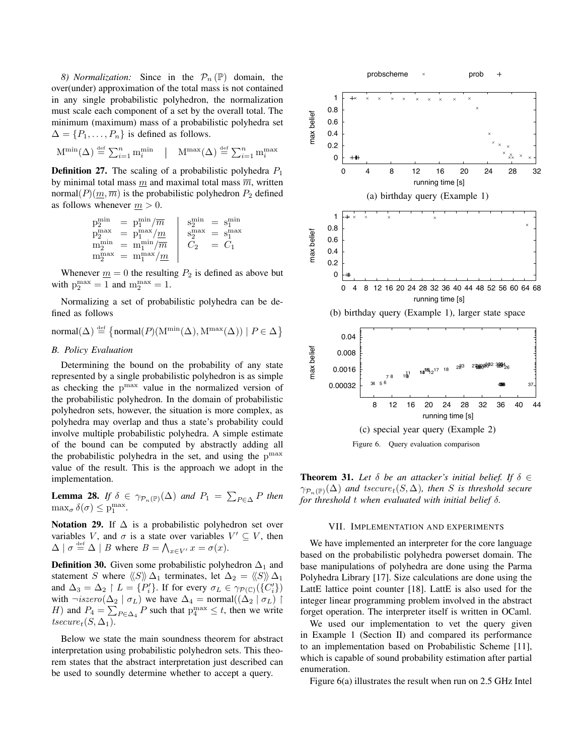*8) Normalization:* Since in the  $\mathcal{P}_n(\mathbb{P})$  domain, the over(under) approximation of the total mass is not contained in any single probabilistic polyhedron, the normalization must scale each component of a set by the overall total. The minimum (maximum) mass of a probabilistic polyhedra set  $\Delta = \{P_1, \ldots, P_n\}$  is defined as follows.

$$
\mathbf{M}^{\min}(\Delta) \stackrel{\text{def}}{=} \sum_{i=1}^{n} \mathbf{m}^{\min}_{i} \quad | \quad \mathbf{M}^{\max}(\Delta) \stackrel{\text{def}}{=} \sum_{i=1}^{n} \mathbf{m}^{\max}_{i}
$$

**Definition 27.** The scaling of a probabilistic polyhedra  $P_1$ by minimal total mass  $m$  and maximal total mass  $\overline{m}$ , written normal $(P)(m, \overline{m})$  is the probabilistic polyhedron  $P_2$  defined as follows whenever  $m > 0$ .

$$
p_2^{\min} = p_1^{\min}/\overline{m}
$$
  
\n
$$
p_2^{\max} = p_1^{\max}/\underline{m}
$$
  
\n
$$
m_2^{\min} = m_1^{\min}/\overline{m}
$$
  
\n
$$
p_2^{\max} = s_1^{\min}
$$
  
\n
$$
C_2 = C_1
$$
  
\n
$$
m_2^{\max} = m_1^{\max}/\underline{m}
$$

Whenever  $m = 0$  the resulting  $P_2$  is defined as above but with  $p_2^{\text{max}} = 1$  and  $m_2^{\text{max}} = 1$ .

Normalizing a set of probabilistic polyhedra can be defined as follows

$$
\text{normal}(\Delta) \stackrel{\text{def}}{=} \{ \text{normal}(P)(M^{\min}(\Delta), M^{\max}(\Delta)) \mid P \in \Delta \}
$$

## *B. Policy Evaluation*

Determining the bound on the probability of any state represented by a single probabilistic polyhedron is as simple as checking the p<sup>max</sup> value in the normalized version of the probabilistic polyhedron. In the domain of probabilistic polyhedron sets, however, the situation is more complex, as polyhedra may overlap and thus a state's probability could involve multiple probabilistic polyhedra. A simple estimate of the bound can be computed by abstractly adding all the probabilistic polyhedra in the set, and using the  $p^{max}$ value of the result. This is the approach we adopt in the implementation.

**Lemma 28.** *If*  $\delta \in \gamma_{\mathcal{P}_n(\mathbb{P})}(\Delta)$  *and*  $P_1 = \sum_{P \in \Delta} P$  *then*  $\max_{\sigma} \delta(\sigma) \leq p_1^{\max}.$ 

Notation 29. If  $\Delta$  is a probabilistic polyhedron set over variables V, and  $\sigma$  is a state over variables  $V' \subseteq V$ , then  $\Delta \mid \sigma \stackrel{\text{def}}{=} \Delta \mid B$  where  $B = \bigwedge_{x \in V'} x = \sigma(x)$ .

**Definition 30.** Given some probabilistic polyhedron  $\Delta_1$  and statement S where  $\langle S \rangle \rangle \Delta_1$  terminates, let  $\Delta_2 = \langle S \rangle \rangle \Delta_1$ and  $\Delta_3 = \Delta_2 \restriction L = \{P'_i\}$ . If for every  $\sigma_L \in \gamma_{\mathcal{P}(\mathbb{C})}(\{C'_i\})$ with  $\neg \text{iszero}(\Delta_2 \mid \sigma_L)$  we have  $\Delta_4 = \text{normal}((\Delta_2 \mid \sigma_L) \upharpoonright$ H) and  $P_4 = \sum_{P \in \Delta_4} P$  such that  $p_4^{\max} \le t$ , then we write  $tsecure_t(S, \Delta_1).$ 

Below we state the main soundness theorem for abstract interpretation using probabilistic polyhedron sets. This theorem states that the abstract interpretation just described can be used to soundly determine whether to accept a query.



Figure 6. Query evaluation comparison

**Theorem 31.** Let  $\delta$  be an attacker's initial belief. If  $\delta \in$  $\gamma_{\mathcal{P}_n(\mathbb{P})}(\Delta)$  *and tsecure*<sub>t</sub>(S,  $\Delta$ )*, then* S *is threshold secure for threshold* t *when evaluated with initial belief* δ*.*

#### VII. IMPLEMENTATION AND EXPERIMENTS

We have implemented an interpreter for the core language based on the probabilistic polyhedra powerset domain. The base manipulations of polyhedra are done using the Parma Polyhedra Library [17]. Size calculations are done using the LattE lattice point counter [18]. LattE is also used for the integer linear programming problem involved in the abstract forget operation. The interpreter itself is written in OCaml.

We used our implementation to vet the query given in Example 1 (Section II) and compared its performance to an implementation based on Probabilistic Scheme [11], which is capable of sound probability estimation after partial enumeration.

Figure 6(a) illustrates the result when run on 2.5 GHz Intel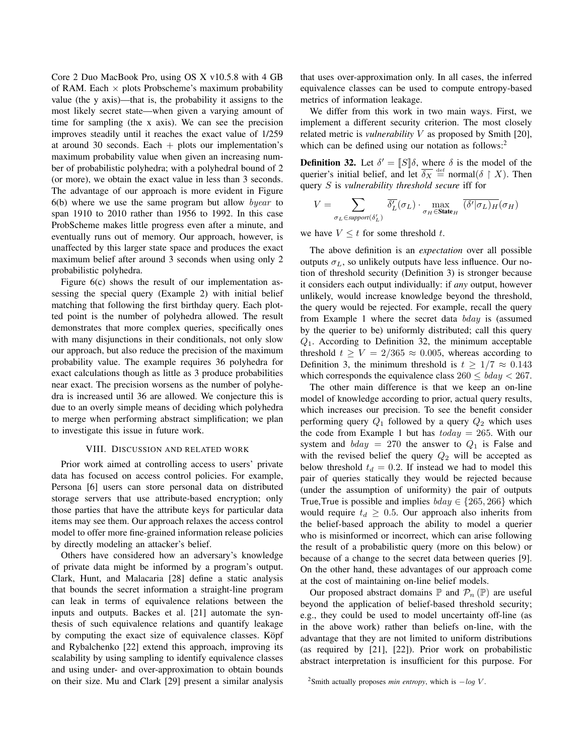Core 2 Duo MacBook Pro, using OS X v10.5.8 with 4 GB of RAM. Each  $\times$  plots Probscheme's maximum probability value (the y axis)—that is, the probability it assigns to the most likely secret state—when given a varying amount of time for sampling (the x axis). We can see the precision improves steadily until it reaches the exact value of 1/259 at around 30 seconds. Each  $+$  plots our implementation's maximum probability value when given an increasing number of probabilistic polyhedra; with a polyhedral bound of 2 (or more), we obtain the exact value in less than 3 seconds. The advantage of our approach is more evident in Figure  $6(b)$  where we use the same program but allow *byear* to span 1910 to 2010 rather than 1956 to 1992. In this case ProbScheme makes little progress even after a minute, and eventually runs out of memory. Our approach, however, is unaffected by this larger state space and produces the exact maximum belief after around 3 seconds when using only 2 probabilistic polyhedra.

Figure 6(c) shows the result of our implementation assessing the special query (Example 2) with initial belief matching that following the first birthday query. Each plotted point is the number of polyhedra allowed. The result demonstrates that more complex queries, specifically ones with many disjunctions in their conditionals, not only slow our approach, but also reduce the precision of the maximum probability value. The example requires 36 polyhedra for exact calculations though as little as 3 produce probabilities near exact. The precision worsens as the number of polyhedra is increased until 36 are allowed. We conjecture this is due to an overly simple means of deciding which polyhedra to merge when performing abstract simplification; we plan to investigate this issue in future work.

### VIII. DISCUSSION AND RELATED WORK

Prior work aimed at controlling access to users' private data has focused on access control policies. For example, Persona [6] users can store personal data on distributed storage servers that use attribute-based encryption; only those parties that have the attribute keys for particular data items may see them. Our approach relaxes the access control model to offer more fine-grained information release policies by directly modeling an attacker's belief.

Others have considered how an adversary's knowledge of private data might be informed by a program's output. Clark, Hunt, and Malacaria [28] define a static analysis that bounds the secret information a straight-line program can leak in terms of equivalence relations between the inputs and outputs. Backes et al. [21] automate the synthesis of such equivalence relations and quantify leakage by computing the exact size of equivalence classes. Köpf and Rybalchenko [22] extend this approach, improving its scalability by using sampling to identify equivalence classes and using under- and over-approximation to obtain bounds on their size. Mu and Clark [29] present a similar analysis that uses over-approximation only. In all cases, the inferred equivalence classes can be used to compute entropy-based metrics of information leakage.

We differ from this work in two main ways. First, we implement a different security criterion. The most closely related metric is *vulnerability* V as proposed by Smith [20], which can be defined using our notation as follows:<sup>2</sup>

**Definition 32.** Let  $\delta' = \llbracket S \rrbracket \delta$ , where  $\delta$  is the model of the querier's initial belief, and let  $\overline{\delta_X} \stackrel{\text{def}}{=} \text{normal}(\delta \restriction X)$ . Then query S is *vulnerability threshold secure* iff for

$$
V = \sum_{\sigma_L \in support(\delta_L')} \overline{\delta_L'}(\sigma_L) \cdot \max_{\sigma_H \in \textbf{State}_H} \overline{(\delta'|\sigma_L)_H}(\sigma_H)
$$

we have  $V \leq t$  for some threshold t.

The above definition is an *expectation* over all possible outputs  $\sigma_L$ , so unlikely outputs have less influence. Our notion of threshold security (Definition 3) is stronger because it considers each output individually: if *any* output, however unlikely, would increase knowledge beyond the threshold, the query would be rejected. For example, recall the query from Example 1 where the secret data *bday* is (assumed by the querier to be) uniformly distributed; call this query  $Q_1$ . According to Definition 32, the minimum acceptable threshold  $t \geq V = 2/365 \approx 0.005$ , whereas according to Definition 3, the minimum threshold is  $t > 1/7 \approx 0.143$ which corresponds the equivalence class  $260 \leq bday < 267$ .

The other main difference is that we keep an on-line model of knowledge according to prior, actual query results, which increases our precision. To see the benefit consider performing query  $Q_1$  followed by a query  $Q_2$  which uses the code from Example 1 but has  $today = 265$ . With our system and  $bday = 270$  the answer to  $Q_1$  is False and with the revised belief the query  $Q_2$  will be accepted as below threshold  $t_d = 0.2$ . If instead we had to model this pair of queries statically they would be rejected because (under the assumption of uniformity) the pair of outputs True, True is possible and implies  $bday \in \{265, 266\}$  which would require  $t_d \geq 0.5$ . Our approach also inherits from the belief-based approach the ability to model a querier who is misinformed or incorrect, which can arise following the result of a probabilistic query (more on this below) or because of a change to the secret data between queries [9]. On the other hand, these advantages of our approach come at the cost of maintaining on-line belief models.

Our proposed abstract domains  $\mathbb P$  and  $\mathcal P_n(\mathbb P)$  are useful beyond the application of belief-based threshold security; e.g., they could be used to model uncertainty off-line (as in the above work) rather than beliefs on-line, with the advantage that they are not limited to uniform distributions (as required by [21], [22]). Prior work on probabilistic abstract interpretation is insufficient for this purpose. For

<sup>&</sup>lt;sup>2</sup>Smith actually proposes *min entropy*, which is  $-\log V$ .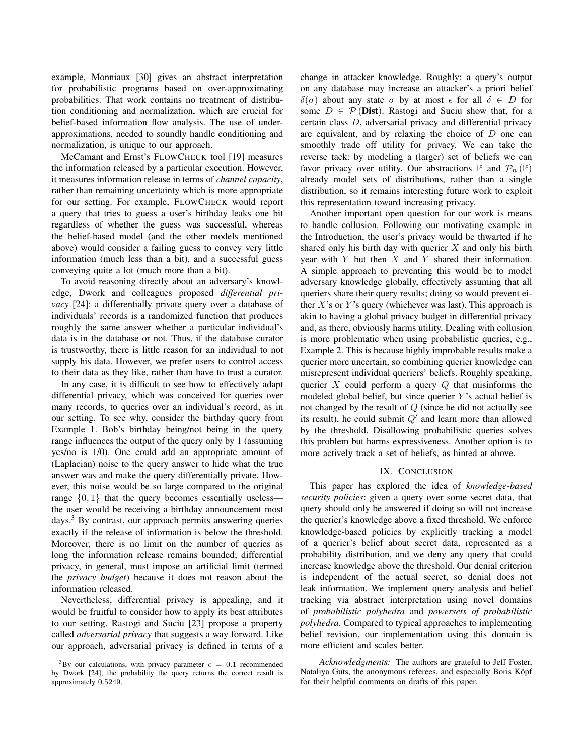example, Monniaux [30] gives an abstract interpretation for probabilistic programs based on over-approximating probabilities. That work contains no treatment of distribution conditioning and normalization, which are crucial for belief-based information flow analysis. The use of underapproximations, needed to soundly handle conditioning and normalization, is unique to our approach.

McCamant and Ernst's FLOWCHECK tool [19] measures the information released by a particular execution. However, it measures information release in terms of *channel capacity*, rather than remaining uncertainty which is more appropriate for our setting. For example, FLOWCHECK would report a query that tries to guess a user's birthday leaks one bit regardless of whether the guess was successful, whereas the belief-based model (and the other models mentioned above) would consider a failing guess to convey very little information (much less than a bit), and a successful guess conveying quite a lot (much more than a bit).

To avoid reasoning directly about an adversary's knowledge, Dwork and colleagues proposed *differential privacy* [24]: a differentially private query over a database of individuals' records is a randomized function that produces roughly the same answer whether a particular individual's data is in the database or not. Thus, if the database curator is trustworthy, there is little reason for an individual to not supply his data. However, we prefer users to control access to their data as they like, rather than have to trust a curator.

In any case, it is difficult to see how to effectively adapt differential privacy, which was conceived for queries over many records, to queries over an individual's record, as in our setting. To see why, consider the birthday query from Example 1. Bob's birthday being/not being in the query range influences the output of the query only by 1 (assuming yes/no is 1/0). One could add an appropriate amount of (Laplacian) noise to the query answer to hide what the true answer was and make the query differentially private. However, this noise would be so large compared to the original range  $\{0, 1\}$  that the query becomes essentially useless the user would be receiving a birthday announcement most days.<sup>3</sup> By contrast, our approach permits answering queries exactly if the release of information is below the threshold. Moreover, there is no limit on the number of queries as long the information release remains bounded; differential privacy, in general, must impose an artificial limit (termed the *privacy budget*) because it does not reason about the information released.

Nevertheless, differential privacy is appealing, and it would be fruitful to consider how to apply its best attributes to our setting. Rastogi and Suciu [23] propose a property called *adversarial privacy* that suggests a way forward. Like our approach, adversarial privacy is defined in terms of a change in attacker knowledge. Roughly: a query's output on any database may increase an attacker's a priori belief  $\delta(\sigma)$  about any state  $\sigma$  by at most  $\epsilon$  for all  $\delta \in D$  for some  $D \in \mathcal{P}$  (**Dist**). Rastogi and Suciu show that, for a certain class D, adversarial privacy and differential privacy are equivalent, and by relaxing the choice of  $D$  one can smoothly trade off utility for privacy. We can take the reverse tack: by modeling a (larger) set of beliefs we can favor privacy over utility. Our abstractions  $\mathbb P$  and  $\mathcal P_n(\mathbb P)$ already model sets of distributions, rather than a single distribution, so it remains interesting future work to exploit this representation toward increasing privacy.

Another important open question for our work is means to handle collusion. Following our motivating example in the Introduction, the user's privacy would be thwarted if he shared only his birth day with querier  $X$  and only his birth year with  $Y$  but then  $X$  and  $Y$  shared their information. A simple approach to preventing this would be to model adversary knowledge globally, effectively assuming that all queriers share their query results; doing so would prevent either  $X$ 's or  $Y$ 's query (whichever was last). This approach is akin to having a global privacy budget in differential privacy and, as there, obviously harms utility. Dealing with collusion is more problematic when using probabilistic queries, e.g., Example 2. This is because highly improbable results make a querier more uncertain, so combining querier knowledge can misrepresent individual queriers' beliefs. Roughly speaking, querier X could perform a query  $Q$  that misinforms the modeled global belief, but since querier  $Y$ 's actual belief is not changed by the result of  $Q$  (since he did not actually see its result), he could submit  $Q'$  and learn more than allowed by the threshold. Disallowing probabilistic queries solves this problem but harms expressiveness. Another option is to more actively track a set of beliefs, as hinted at above.

# IX. CONCLUSION

This paper has explored the idea of *knowledge-based security policies*: given a query over some secret data, that query should only be answered if doing so will not increase the querier's knowledge above a fixed threshold. We enforce knowledge-based policies by explicitly tracking a model of a querier's belief about secret data, represented as a probability distribution, and we deny any query that could increase knowledge above the threshold. Our denial criterion is independent of the actual secret, so denial does not leak information. We implement query analysis and belief tracking via abstract interpretation using novel domains of *probabilistic polyhedra* and *powersets of probabilistic polyhedra*. Compared to typical approaches to implementing belief revision, our implementation using this domain is more efficient and scales better.

*Acknowledgments:* The authors are grateful to Jeff Foster, Nataliya Guts, the anonymous referees, and especially Boris Köpf for their helpful comments on drafts of this paper.

<sup>&</sup>lt;sup>3</sup>By our calculations, with privacy parameter  $\epsilon = 0.1$  recommended by Dwork [24], the probability the query returns the correct result is approximately 0.5249.